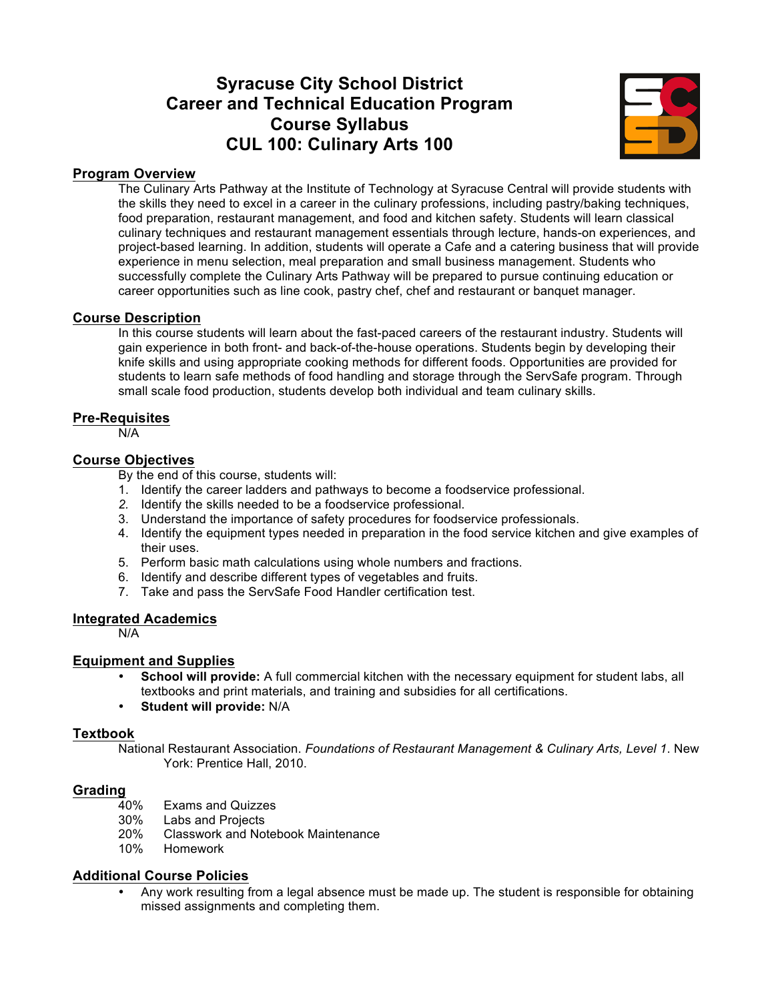# **Syracuse City School District Career and Technical Education Program Course Syllabus CUL 100: Culinary Arts 100**



#### **Program Overview**

The Culinary Arts Pathway at the Institute of Technology at Syracuse Central will provide students with the skills they need to excel in a career in the culinary professions, including pastry/baking techniques, food preparation, restaurant management, and food and kitchen safety. Students will learn classical culinary techniques and restaurant management essentials through lecture, hands-on experiences, and project-based learning. In addition, students will operate a Cafe and a catering business that will provide experience in menu selection, meal preparation and small business management. Students who successfully complete the Culinary Arts Pathway will be prepared to pursue continuing education or career opportunities such as line cook, pastry chef, chef and restaurant or banquet manager.

#### **Course Description**

In this course students will learn about the fast-paced careers of the restaurant industry. Students will gain experience in both front- and back-of-the-house operations. Students begin by developing their knife skills and using appropriate cooking methods for different foods. Opportunities are provided for students to learn safe methods of food handling and storage through the ServSafe program. Through small scale food production, students develop both individual and team culinary skills.

#### **Pre-Requisites**

N/A

#### **Course Objectives**

By the end of this course, students will:

- 1. Identify the career ladders and pathways to become a foodservice professional.
- *2.* Identify the skills needed to be a foodservice professional.
- 3. Understand the importance of safety procedures for foodservice professionals.
- 4. Identify the equipment types needed in preparation in the food service kitchen and give examples of their uses.
- 5. Perform basic math calculations using whole numbers and fractions.
- 6. Identify and describe different types of vegetables and fruits.
- 7. Take and pass the ServSafe Food Handler certification test.

#### **Integrated Academics**

N/A

#### **Equipment and Supplies**

- **School will provide:** A full commercial kitchen with the necessary equipment for student labs, all textbooks and print materials, and training and subsidies for all certifications.
- **Student will provide:** N/A

#### **Textbook**

National Restaurant Association. *Foundations of Restaurant Management & Culinary Arts, Level 1*. New York: Prentice Hall, 2010.

#### **Grading**

- 40% Exams and Quizzes
- 30% Labs and Projects
- 20% Classwork and Notebook Maintenance<br>10% Homework
- **Homework**

#### **Additional Course Policies**

• Any work resulting from a legal absence must be made up. The student is responsible for obtaining missed assignments and completing them.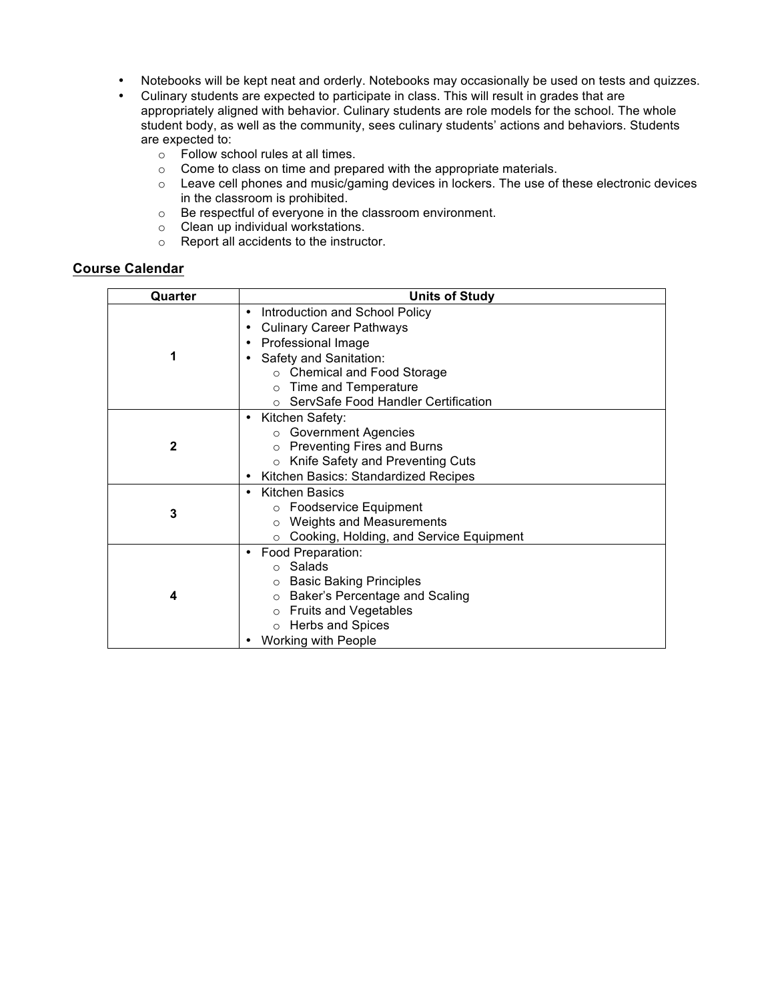- Notebooks will be kept neat and orderly. Notebooks may occasionally be used on tests and quizzes.
- Culinary students are expected to participate in class. This will result in grades that are appropriately aligned with behavior. Culinary students are role models for the school. The whole student body, as well as the community, sees culinary students' actions and behaviors. Students are expected to:
	- o Follow school rules at all times.
	- o Come to class on time and prepared with the appropriate materials.
	- $\circ$  Leave cell phones and music/gaming devices in lockers. The use of these electronic devices in the classroom is prohibited.
	- $\circ$  Be respectful of everyone in the classroom environment.
	- o Clean up individual workstations.
	- o Report all accidents to the instructor.

| Quarter      | <b>Units of Study</b>                       |
|--------------|---------------------------------------------|
|              | Introduction and School Policy              |
|              | <b>Culinary Career Pathways</b>             |
|              | Professional Image                          |
| 1            | Safety and Sanitation:                      |
|              | ○ Chemical and Food Storage                 |
|              | $\circ$ Time and Temperature                |
|              | ○ ServSafe Food Handler Certification       |
|              | Kitchen Safety:                             |
|              | ○ Government Agencies                       |
| $\mathbf{2}$ | $\circ$ Preventing Fires and Burns          |
|              | Knife Safety and Preventing Cuts<br>$\circ$ |
|              | Kitchen Basics: Standardized Recipes        |
|              | <b>Kitchen Basics</b><br>٠                  |
| 3            | ○ Foodservice Equipment                     |
|              | <b>Weights and Measurements</b><br>$\circ$  |
|              | Cooking, Holding, and Service Equipment     |
|              | Food Preparation:                           |
|              | ○ Salads                                    |
|              | ○ Basic Baking Principles                   |
| 4            | ○ Baker's Percentage and Scaling            |
|              | ○ Fruits and Vegetables                     |
|              | o Herbs and Spices                          |
|              | Working with People                         |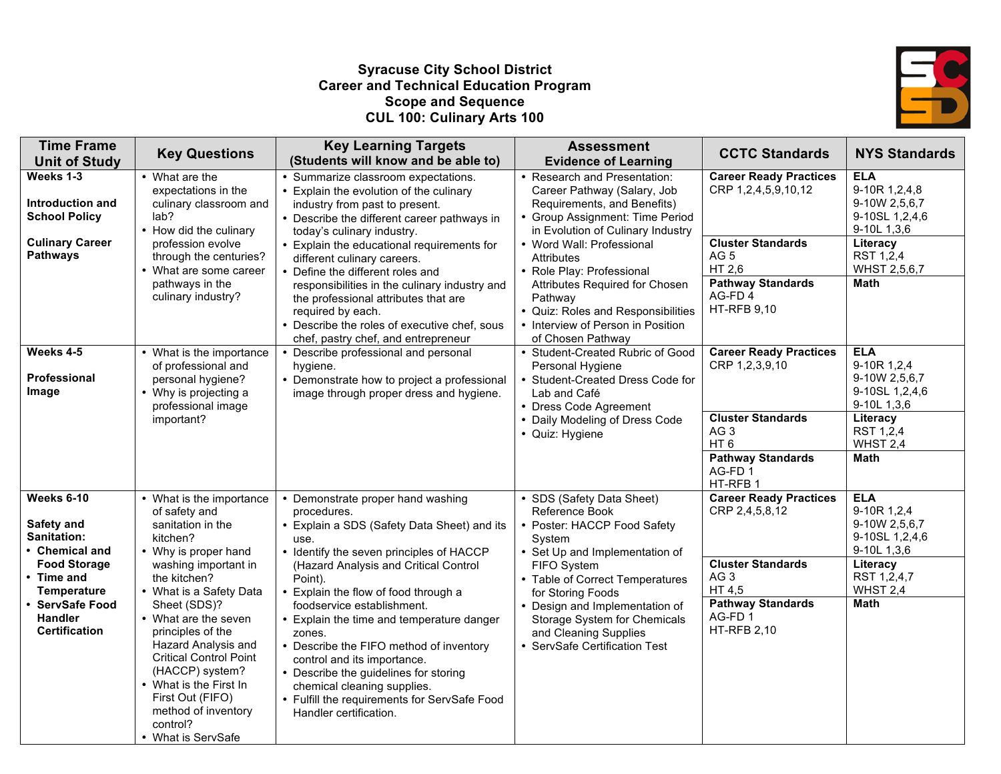#### **Syracuse City School District Career and Technical Education Program Scope and Sequence CUL 100: Culinary Arts 100**



| <b>Time Frame</b><br><b>Unit of Study</b>                                                                                                                                                | <b>Key Questions</b>                                                                                                                                                                                                                                                                                                                                                                                                 | <b>Key Learning Targets</b><br>(Students will know and be able to)                                                                                                                                                                                                                                                                                                                                                                                                                                                                                               | <b>Assessment</b><br><b>Evidence of Learning</b>                                                                                                                                                                                                                                                                        | <b>CCTC Standards</b>                                                                                                                                                            | <b>NYS Standards</b>                                                                                                              |
|------------------------------------------------------------------------------------------------------------------------------------------------------------------------------------------|----------------------------------------------------------------------------------------------------------------------------------------------------------------------------------------------------------------------------------------------------------------------------------------------------------------------------------------------------------------------------------------------------------------------|------------------------------------------------------------------------------------------------------------------------------------------------------------------------------------------------------------------------------------------------------------------------------------------------------------------------------------------------------------------------------------------------------------------------------------------------------------------------------------------------------------------------------------------------------------------|-------------------------------------------------------------------------------------------------------------------------------------------------------------------------------------------------------------------------------------------------------------------------------------------------------------------------|----------------------------------------------------------------------------------------------------------------------------------------------------------------------------------|-----------------------------------------------------------------------------------------------------------------------------------|
| Weeks 1-3<br><b>Introduction and</b><br><b>School Policy</b>                                                                                                                             | • What are the<br>expectations in the<br>culinary classroom and<br>lab?                                                                                                                                                                                                                                                                                                                                              | • Summarize classroom expectations.<br>• Explain the evolution of the culinary<br>industry from past to present.<br>• Describe the different career pathways in                                                                                                                                                                                                                                                                                                                                                                                                  | • Research and Presentation:<br>Career Pathway (Salary, Job<br>Requirements, and Benefits)<br>• Group Assignment: Time Period                                                                                                                                                                                           | <b>Career Ready Practices</b><br>CRP 1,2,4,5,9,10,12                                                                                                                             | <b>ELA</b><br>9-10R 1,2,4,8<br>9-10W 2,5,6,7<br>9-10SL 1,2,4,6<br>9-10L 1,3,6                                                     |
| <b>Culinary Career</b><br><b>Pathways</b>                                                                                                                                                | • How did the culinary<br>profession evolve<br>through the centuries?<br>• What are some career<br>pathways in the<br>culinary industry?                                                                                                                                                                                                                                                                             | today's culinary industry.<br>• Explain the educational requirements for<br>different culinary careers.<br>• Define the different roles and<br>responsibilities in the culinary industry and<br>the professional attributes that are<br>required by each.<br>• Describe the roles of executive chef, sous<br>chef, pastry chef, and entrepreneur                                                                                                                                                                                                                 | in Evolution of Culinary Industry<br>• Word Wall: Professional<br><b>Attributes</b><br>• Role Play: Professional<br>Attributes Required for Chosen<br>Pathway<br>• Quiz: Roles and Responsibilities<br>• Interview of Person in Position<br>of Chosen Pathway                                                           | <b>Cluster Standards</b><br>AG <sub>5</sub><br>HT 2,6<br><b>Pathway Standards</b><br>AG-FD4<br><b>HT-RFB 9,10</b>                                                                | Literacy<br>RST 1,2,4<br>WHST 2,5,6,7<br>Math                                                                                     |
| Weeks 4-5<br><b>Professional</b><br>Image                                                                                                                                                | • What is the importance<br>of professional and<br>personal hygiene?<br>• Why is projecting a<br>professional image<br>important?                                                                                                                                                                                                                                                                                    | • Describe professional and personal<br>hygiene.<br>• Demonstrate how to project a professional<br>image through proper dress and hygiene.                                                                                                                                                                                                                                                                                                                                                                                                                       | • Student-Created Rubric of Good<br>Personal Hygiene<br>Student-Created Dress Code for<br>Lab and Café<br>• Dress Code Agreement<br>• Daily Modeling of Dress Code<br>• Quiz: Hygiene                                                                                                                                   | <b>Career Ready Practices</b><br>CRP 1,2,3,9,10<br><b>Cluster Standards</b><br>AG <sub>3</sub><br>HT <sub>6</sub><br><b>Pathway Standards</b><br>AG-FD1<br>HT-RFB 1              | <b>ELA</b><br>9-10R 1,2,4<br>9-10W 2,5,6,7<br>9-10SL 1,2,4,6<br>9-10L 1,3,6<br>Literacy<br>RST 1,2,4<br>WHST 2,4<br><b>Math</b>   |
| Weeks 6-10<br>Safety and<br><b>Sanitation:</b><br>• Chemical and<br><b>Food Storage</b><br>• Time and<br><b>Temperature</b><br>· ServSafe Food<br><b>Handler</b><br><b>Certification</b> | • What is the importance<br>of safety and<br>sanitation in the<br>kitchen?<br>• Why is proper hand<br>washing important in<br>the kitchen?<br>• What is a Safety Data<br>Sheet (SDS)?<br>• What are the seven<br>principles of the<br>Hazard Analysis and<br><b>Critical Control Point</b><br>(HACCP) system?<br>• What is the First In<br>First Out (FIFO)<br>method of inventory<br>control?<br>• What is ServSafe | • Demonstrate proper hand washing<br>procedures.<br>• Explain a SDS (Safety Data Sheet) and its<br>use.<br>• Identify the seven principles of HACCP<br>(Hazard Analysis and Critical Control<br>Point).<br>• Explain the flow of food through a<br>foodservice establishment.<br>• Explain the time and temperature danger<br>zones.<br>• Describe the FIFO method of inventory<br>control and its importance.<br>• Describe the guidelines for storing<br>chemical cleaning supplies.<br>• Fulfill the requirements for ServSafe Food<br>Handler certification. | • SDS (Safety Data Sheet)<br>Reference Book<br>Poster: HACCP Food Safety<br>System<br>• Set Up and Implementation of<br>FIFO System<br>• Table of Correct Temperatures<br>for Storing Foods<br>• Design and Implementation of<br>Storage System for Chemicals<br>and Cleaning Supplies<br>• ServSafe Certification Test | <b>Career Ready Practices</b><br>CRP 2,4,5,8,12<br><b>Cluster Standards</b><br>AG <sub>3</sub><br>HT 4,5<br><b>Pathway Standards</b><br>AG-FD <sub>1</sub><br><b>HT-RFB 2,10</b> | <b>ELA</b><br>9-10R 1,2,4<br>9-10W 2,5,6,7<br>9-10SL 1,2,4,6<br>9-10L 1,3,6<br>Literacy<br>RST 1,2,4,7<br>WHST 2,4<br><b>Math</b> |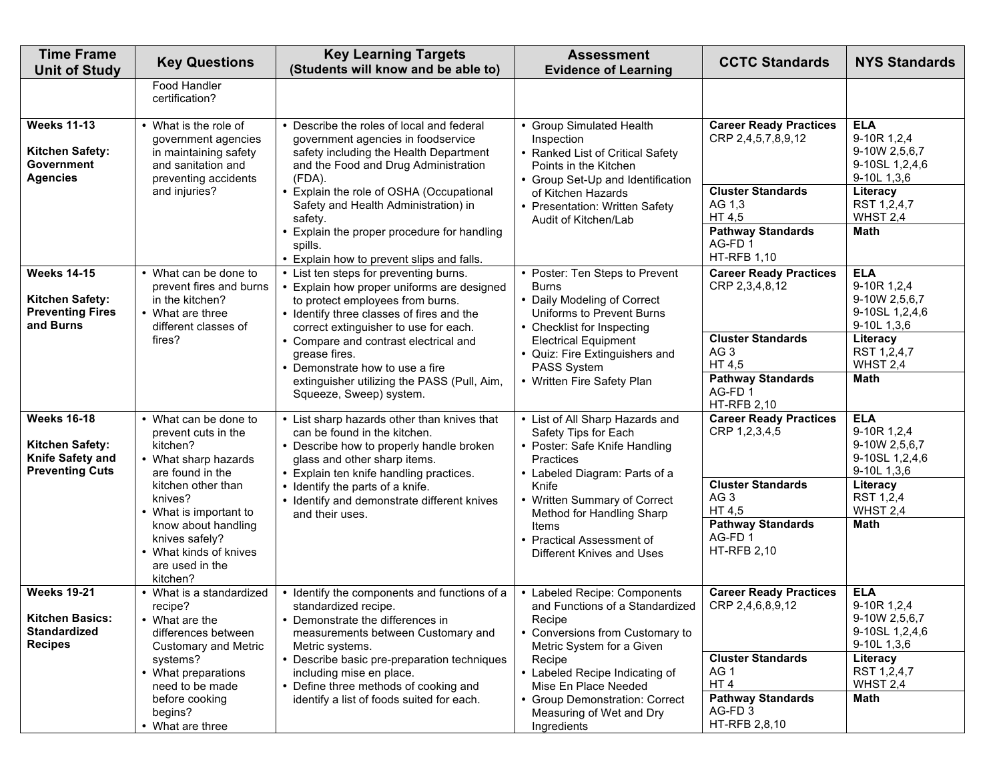| <b>Time Frame</b><br><b>Unit of Study</b>                                             | <b>Key Questions</b>                                                                                                                  | <b>Key Learning Targets</b><br>(Students will know and be able to)                                                                                                                                                                                                                                   | <b>Assessment</b><br><b>Evidence of Learning</b>                                                                                                                                | <b>CCTC Standards</b>                                                                             | <b>NYS Standards</b>                                                                                 |
|---------------------------------------------------------------------------------------|---------------------------------------------------------------------------------------------------------------------------------------|------------------------------------------------------------------------------------------------------------------------------------------------------------------------------------------------------------------------------------------------------------------------------------------------------|---------------------------------------------------------------------------------------------------------------------------------------------------------------------------------|---------------------------------------------------------------------------------------------------|------------------------------------------------------------------------------------------------------|
|                                                                                       | Food Handler<br>certification?                                                                                                        |                                                                                                                                                                                                                                                                                                      |                                                                                                                                                                                 |                                                                                                   |                                                                                                      |
| <b>Weeks 11-13</b><br>Kitchen Safety:<br>Government<br><b>Agencies</b>                | • What is the role of<br>government agencies<br>in maintaining safety<br>and sanitation and<br>preventing accidents                   | • Describe the roles of local and federal<br>government agencies in foodservice<br>safety including the Health Department<br>and the Food and Drug Administration<br>(FDA).                                                                                                                          | • Group Simulated Health<br>Inspection<br>• Ranked List of Critical Safety<br>Points in the Kitchen<br>• Group Set-Up and Identification                                        | <b>Career Ready Practices</b><br>CRP 2,4,5,7,8,9,12                                               | <b>ELA</b><br>9-10R 1,2,4<br>9-10W 2,5,6,7<br>9-10SL 1,2,4,6<br>9-10L 1,3,6                          |
|                                                                                       | and injuries?                                                                                                                         | • Explain the role of OSHA (Occupational<br>Safety and Health Administration) in<br>safety.<br>Explain the proper procedure for handling<br>spills.                                                                                                                                                  | of Kitchen Hazards<br>• Presentation: Written Safety<br>Audit of Kitchen/Lab                                                                                                    | <b>Cluster Standards</b><br>AG 1,3<br>HT 4,5<br><b>Pathway Standards</b><br>AG-FD <sub>1</sub>    | Literacy<br>RST 1,2,4,7<br>WHST 2,4<br>Math                                                          |
| <b>Weeks 14-15</b><br><b>Kitchen Safety:</b><br><b>Preventing Fires</b><br>and Burns  | • What can be done to<br>prevent fires and burns<br>in the kitchen?<br>• What are three<br>different classes of<br>fires?             | • Explain how to prevent slips and falls.<br>• List ten steps for preventing burns.<br>• Explain how proper uniforms are designed<br>to protect employees from burns.<br>• Identify three classes of fires and the<br>correct extinguisher to use for each.<br>• Compare and contrast electrical and | • Poster: Ten Steps to Prevent<br><b>Burns</b><br>• Daily Modeling of Correct<br>Uniforms to Prevent Burns<br>• Checklist for Inspecting<br><b>Electrical Equipment</b>         | <b>HT-RFB 1,10</b><br><b>Career Ready Practices</b><br>CRP 2,3,4,8,12<br><b>Cluster Standards</b> | <b>ELA</b><br>9-10R 1,2,4<br>9-10W 2,5,6,7<br>9-10SL 1,2,4,6<br>9-10L 1,3,6<br>Literacy              |
|                                                                                       |                                                                                                                                       | grease fires.<br>• Demonstrate how to use a fire<br>extinguisher utilizing the PASS (Pull, Aim,<br>Squeeze, Sweep) system.                                                                                                                                                                           | Quiz: Fire Extinguishers and<br>PASS System<br>• Written Fire Safety Plan                                                                                                       | AG <sub>3</sub><br>HT 4,5<br><b>Pathway Standards</b><br>AG-FD <sub>1</sub><br><b>HT-RFB 2,10</b> | RST 1,2,4,7<br>WHST 2,4<br>Math                                                                      |
| <b>Weeks 16-18</b><br>Kitchen Safety:<br>Knife Safety and<br><b>Preventing Cuts</b>   | • What can be done to<br>prevent cuts in the<br>kitchen?<br>• What sharp hazards<br>are found in the<br>kitchen other than<br>knives? | • List sharp hazards other than knives that<br>can be found in the kitchen.<br>• Describe how to properly handle broken<br>glass and other sharp items.<br>• Explain ten knife handling practices.<br>• Identify the parts of a knife.<br>• Identify and demonstrate different knives                | • List of All Sharp Hazards and<br>Safety Tips for Each<br>• Poster: Safe Knife Handling<br>Practices<br>• Labeled Diagram: Parts of a<br>Knife<br>• Written Summary of Correct | <b>Career Ready Practices</b><br>CRP 1,2,3,4,5<br><b>Cluster Standards</b><br>AG <sub>3</sub>     | <b>ELA</b><br>9-10R 1,2,4<br>9-10W 2,5,6,7<br>9-10SL 1,2,4,6<br>9-10L 1,3,6<br>Literacy<br>RST 1,2,4 |
|                                                                                       | • What is important to<br>know about handling<br>knives safely?<br>• What kinds of knives<br>are used in the<br>kitchen?              | and their uses.                                                                                                                                                                                                                                                                                      | Method for Handling Sharp<br>Items<br>• Practical Assessment of<br>Different Knives and Uses                                                                                    | HT 4,5<br><b>Pathway Standards</b><br>AG-FD1<br><b>HT-RFB 2,10</b>                                | WHST 2,4<br>Math                                                                                     |
| <b>Weeks 19-21</b><br><b>Kitchen Basics:</b><br><b>Standardized</b><br><b>Recipes</b> | • What is a standardized<br>recipe?<br>• What are the<br>differences between<br><b>Customary and Metric</b>                           | • Identify the components and functions of a<br>standardized recipe.<br>• Demonstrate the differences in<br>measurements between Customary and<br>Metric systems.                                                                                                                                    | • Labeled Recipe: Components<br>and Functions of a Standardized<br>Recipe<br>Conversions from Customary to<br>Metric System for a Given                                         | <b>Career Ready Practices</b><br>CRP 2,4,6,8,9,12                                                 | <b>ELA</b><br>9-10R 1,2,4<br>9-10W 2,5,6,7<br>9-10SL 1,2,4,6<br>9-10L 1,3,6                          |
|                                                                                       | systems?<br>• What preparations<br>need to be made<br>before cooking<br>begins?                                                       | • Describe basic pre-preparation techniques<br>including mise en place.<br>• Define three methods of cooking and<br>identify a list of foods suited for each.                                                                                                                                        | Recipe<br>• Labeled Recipe Indicating of<br>Mise En Place Needed<br>• Group Demonstration: Correct<br>Measuring of Wet and Dry                                                  | <b>Cluster Standards</b><br>AG <sub>1</sub><br>HT4<br><b>Pathway Standards</b><br>AG-FD3          | Literacy<br>RST 1,2,4,7<br>WHST 2,4<br>Math                                                          |
|                                                                                       | • What are three                                                                                                                      |                                                                                                                                                                                                                                                                                                      | Ingredients                                                                                                                                                                     | HT-RFB 2,8,10                                                                                     |                                                                                                      |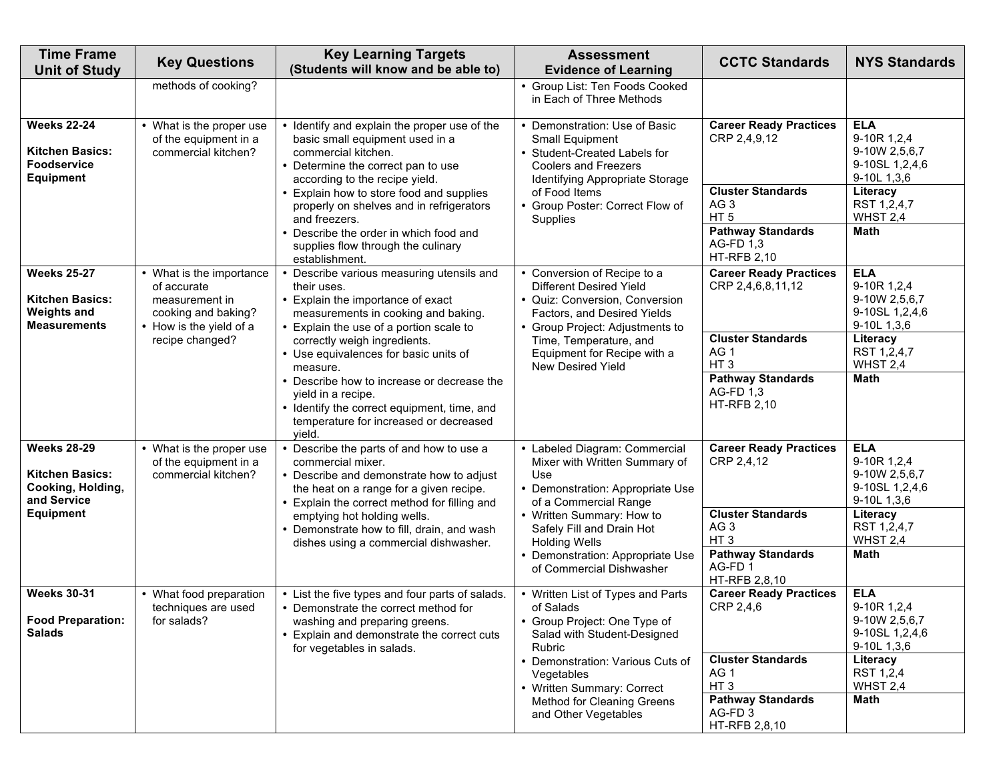| <b>Time Frame</b><br><b>Unit of Study</b>                                                 | <b>Key Questions</b>                                                                                        | <b>Key Learning Targets</b><br>(Students will know and be able to)                                                                                                                                   | <b>Assessment</b><br><b>Evidence of Learning</b>                                                                                                                  | <b>CCTC Standards</b>                                                           | <b>NYS Standards</b>                                                                    |
|-------------------------------------------------------------------------------------------|-------------------------------------------------------------------------------------------------------------|------------------------------------------------------------------------------------------------------------------------------------------------------------------------------------------------------|-------------------------------------------------------------------------------------------------------------------------------------------------------------------|---------------------------------------------------------------------------------|-----------------------------------------------------------------------------------------|
|                                                                                           | methods of cooking?                                                                                         |                                                                                                                                                                                                      | • Group List: Ten Foods Cooked<br>in Each of Three Methods                                                                                                        |                                                                                 |                                                                                         |
| <b>Weeks 22-24</b><br><b>Kitchen Basics:</b><br><b>Foodservice</b><br>Equipment           | • What is the proper use<br>of the equipment in a<br>commercial kitchen?                                    | • Identify and explain the proper use of the<br>basic small equipment used in a<br>commercial kitchen.<br>• Determine the correct pan to use<br>according to the recipe yield.                       | Demonstration: Use of Basic<br>Small Equipment<br>• Student-Created Labels for<br><b>Coolers and Freezers</b><br>Identifying Appropriate Storage                  | <b>Career Ready Practices</b><br>CRP 2,4,9,12                                   | <b>ELA</b><br>9-10R 1,2,4<br>9-10W 2,5,6,7<br>9-10SL 1,2,4,6<br>9-10L 1,3,6             |
|                                                                                           |                                                                                                             | • Explain how to store food and supplies<br>properly on shelves and in refrigerators<br>and freezers.<br>• Describe the order in which food and                                                      | of Food Items<br>• Group Poster: Correct Flow of<br>Supplies                                                                                                      | <b>Cluster Standards</b><br>AG 3<br>HT <sub>5</sub><br><b>Pathway Standards</b> | Literacy<br>RST 1,2,4,7<br>WHST 2,4<br><b>Math</b>                                      |
|                                                                                           |                                                                                                             | supplies flow through the culinary<br>establishment.                                                                                                                                                 |                                                                                                                                                                   | AG-FD 1,3<br><b>HT-RFB 2,10</b>                                                 |                                                                                         |
| <b>Weeks 25-27</b><br><b>Kitchen Basics:</b><br><b>Weights and</b><br><b>Measurements</b> | • What is the importance<br>of accurate<br>measurement in<br>cooking and baking?<br>• How is the yield of a | • Describe various measuring utensils and<br>their uses.<br>• Explain the importance of exact<br>measurements in cooking and baking.<br>• Explain the use of a portion scale to                      | • Conversion of Recipe to a<br><b>Different Desired Yield</b><br>• Quiz: Conversion, Conversion<br>Factors, and Desired Yields<br>• Group Project: Adjustments to | <b>Career Ready Practices</b><br>CRP 2,4,6,8,11,12                              | <b>ELA</b><br>9-10R 1,2,4<br>9-10W 2,5,6,7<br>9-10SL 1,2,4,6<br>9-10L 1,3,6             |
|                                                                                           | recipe changed?                                                                                             | correctly weigh ingredients.<br>• Use equivalences for basic units of<br>measure.                                                                                                                    | Time, Temperature, and<br>Equipment for Recipe with a<br>New Desired Yield                                                                                        | <b>Cluster Standards</b><br>AG <sub>1</sub><br>HT <sub>3</sub>                  | Literacy<br>RST 1,2,4,7<br>WHST 2,4                                                     |
|                                                                                           |                                                                                                             | • Describe how to increase or decrease the<br>yield in a recipe.<br>• Identify the correct equipment, time, and<br>temperature for increased or decreased<br>yield.                                  |                                                                                                                                                                   | <b>Pathway Standards</b><br>AG-FD 1,3<br><b>HT-RFB 2,10</b>                     | <b>Math</b>                                                                             |
| <b>Weeks 28-29</b><br><b>Kitchen Basics:</b><br>Cooking, Holding,<br>and Service          | • What is the proper use<br>of the equipment in a<br>commercial kitchen?                                    | • Describe the parts of and how to use a<br>commercial mixer.<br>• Describe and demonstrate how to adjust<br>the heat on a range for a given recipe.<br>• Explain the correct method for filling and | • Labeled Diagram: Commercial<br>Mixer with Written Summary of<br>Use<br>• Demonstration: Appropriate Use<br>of a Commercial Range                                | <b>Career Ready Practices</b><br>CRP 2,4,12                                     | <b>ELA</b><br>9-10R 1,2,4<br>9-10W 2,5,6,7<br>9-10SL 1,2,4,6<br>9-10L 1,3,6             |
| <b>Equipment</b>                                                                          |                                                                                                             | emptying hot holding wells.<br>• Demonstrate how to fill, drain, and wash<br>dishes using a commercial dishwasher.                                                                                   | • Written Summary: How to<br>Safely Fill and Drain Hot<br><b>Holding Wells</b>                                                                                    | <b>Cluster Standards</b><br>AG <sub>3</sub><br>HT <sub>3</sub>                  | Literacy<br>RST 1,2,4,7<br>WHST 2,4                                                     |
|                                                                                           |                                                                                                             |                                                                                                                                                                                                      | • Demonstration: Appropriate Use<br>of Commercial Dishwasher                                                                                                      | <b>Pathway Standards</b><br>AG-FD1<br>HT-RFB 2,8,10                             | <b>Math</b>                                                                             |
| <b>Weeks 30-31</b><br><b>Food Preparation:</b><br><b>Salads</b>                           | • What food preparation<br>techniques are used<br>for salads?                                               | • List the five types and four parts of salads.<br>• Demonstrate the correct method for<br>washing and preparing greens.<br>• Explain and demonstrate the correct cuts<br>for vegetables in salads.  | • Written List of Types and Parts<br>of Salads<br>• Group Project: One Type of<br>Salad with Student-Designed<br>Rubric<br>• Demonstration: Various Cuts of       | <b>Career Ready Practices</b><br>CRP 2,4,6<br><b>Cluster Standards</b>          | <b>ELA</b><br>9-10R 1,2,4<br>9-10W 2,5,6,7<br>9-10SL 1,2,4,6<br>9-10L 1,3,6<br>Literacy |
|                                                                                           |                                                                                                             |                                                                                                                                                                                                      | Vegetables<br>• Written Summary: Correct<br>Method for Cleaning Greens                                                                                            | AG <sub>1</sub><br>HT <sub>3</sub><br><b>Pathway Standards</b>                  | RST 1,2,4<br>WHST 2,4<br>Math                                                           |
|                                                                                           |                                                                                                             |                                                                                                                                                                                                      | and Other Vegetables                                                                                                                                              | AG-FD <sub>3</sub><br>HT-RFB 2,8,10                                             |                                                                                         |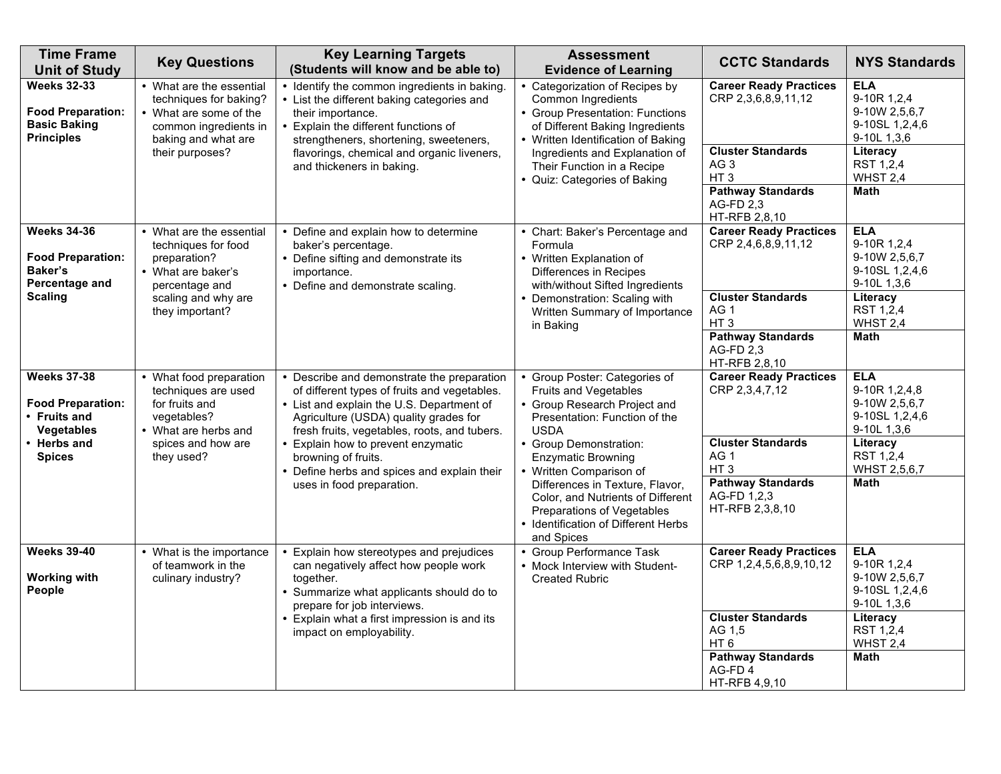| <b>Time Frame</b><br><b>Unit of Study</b>                                                     | <b>Key Questions</b>                                                                                                           | <b>Key Learning Targets</b><br>(Students will know and be able to)                                                                                                                                                               | <b>Assessment</b><br><b>Evidence of Learning</b>                                                                                                                     | <b>CCTC Standards</b>                                                                                                    | <b>NYS Standards</b>                                                                    |
|-----------------------------------------------------------------------------------------------|--------------------------------------------------------------------------------------------------------------------------------|----------------------------------------------------------------------------------------------------------------------------------------------------------------------------------------------------------------------------------|----------------------------------------------------------------------------------------------------------------------------------------------------------------------|--------------------------------------------------------------------------------------------------------------------------|-----------------------------------------------------------------------------------------|
| <b>Weeks 32-33</b><br><b>Food Preparation:</b><br><b>Basic Baking</b><br><b>Principles</b>    | • What are the essential<br>techniques for baking?<br>• What are some of the<br>common ingredients in<br>baking and what are   | • Identify the common ingredients in baking.<br>• List the different baking categories and<br>their importance.<br>• Explain the different functions of<br>strengtheners, shortening, sweeteners,                                | • Categorization of Recipes by<br>Common Ingredients<br>• Group Presentation: Functions<br>of Different Baking Ingredients<br>• Written Identification of Baking     | <b>Career Ready Practices</b><br>CRP 2,3,6,8,9,11,12                                                                     | <b>ELA</b><br>9-10R 1,2,4<br>9-10W 2,5,6,7<br>9-10SL 1,2,4,6<br>9-10L 1,3,6             |
|                                                                                               | their purposes?                                                                                                                | flavorings, chemical and organic liveners,<br>and thickeners in baking.                                                                                                                                                          | Ingredients and Explanation of<br>Their Function in a Recipe<br>• Quiz: Categories of Baking                                                                         | <b>Cluster Standards</b><br>AG <sub>3</sub><br>HT <sub>3</sub><br><b>Pathway Standards</b><br>AG-FD 2,3<br>HT-RFB 2,8,10 | Literacy<br>RST 1,2,4<br>WHST 2,4<br><b>Math</b>                                        |
| <b>Weeks 34-36</b><br><b>Food Preparation:</b><br>Baker's<br>Percentage and<br><b>Scaling</b> | • What are the essential<br>techniques for food<br>preparation?<br>• What are baker's<br>percentage and<br>scaling and why are | • Define and explain how to determine<br>baker's percentage.<br>• Define sifting and demonstrate its<br>importance.<br>• Define and demonstrate scaling.                                                                         | • Chart: Baker's Percentage and<br>Formula<br>• Written Explanation of<br>Differences in Recipes<br>with/without Sifted Ingredients<br>• Demonstration: Scaling with | <b>Career Ready Practices</b><br>CRP 2,4,6,8,9,11,12<br><b>Cluster Standards</b>                                         | <b>ELA</b><br>9-10R 1,2,4<br>9-10W 2,5,6,7<br>9-10SL 1,2,4,6<br>9-10L 1,3,6<br>Literacy |
|                                                                                               | they important?                                                                                                                |                                                                                                                                                                                                                                  | Written Summary of Importance<br>in Baking                                                                                                                           | AG <sub>1</sub><br>HT <sub>3</sub><br><b>Pathway Standards</b><br>AG-FD 2,3<br>HT-RFB 2,8,10                             | RST 1,2,4<br>WHST 2,4<br>Math                                                           |
| <b>Weeks 37-38</b><br><b>Food Preparation:</b><br>• Fruits and<br><b>Vegetables</b>           | • What food preparation<br>techniques are used<br>for fruits and<br>vegetables?<br>• What are herbs and                        | • Describe and demonstrate the preparation<br>of different types of fruits and vegetables.<br>• List and explain the U.S. Department of<br>Agriculture (USDA) quality grades for<br>fresh fruits, vegetables, roots, and tubers. | Group Poster: Categories of<br>Fruits and Vegetables<br>Group Research Project and<br>Presentation: Function of the<br><b>USDA</b>                                   | <b>Career Ready Practices</b><br>CRP 2,3,4,7,12                                                                          | <b>ELA</b><br>9-10R 1,2,4,8<br>9-10W 2,5,6,7<br>9-10SL 1,2,4,6<br>9-10L 1,3,6           |
| • Herbs and<br><b>Spices</b>                                                                  | spices and how are<br>they used?                                                                                               | • Explain how to prevent enzymatic<br>browning of fruits.<br>• Define herbs and spices and explain their<br>uses in food preparation.                                                                                            | • Group Demonstration:<br><b>Enzymatic Browning</b><br>• Written Comparison of<br>Differences in Texture, Flavor,<br>Color, and Nutrients of Different               | <b>Cluster Standards</b><br>AG <sub>1</sub><br>HT <sub>3</sub><br><b>Pathway Standards</b><br>AG-FD 1,2,3                | Literacy<br>RST 1,2,4<br>WHST 2,5,6,7<br><b>Math</b>                                    |
|                                                                                               |                                                                                                                                |                                                                                                                                                                                                                                  | Preparations of Vegetables<br>• Identification of Different Herbs<br>and Spices                                                                                      | HT-RFB 2,3,8,10                                                                                                          |                                                                                         |
| <b>Weeks 39-40</b><br><b>Working with</b><br>People                                           | • What is the importance<br>of teamwork in the<br>culinary industry?                                                           | • Explain how stereotypes and prejudices<br>can negatively affect how people work<br>together.<br>• Summarize what applicants should do to<br>prepare for job interviews.                                                        | • Group Performance Task<br>• Mock Interview with Student-<br><b>Created Rubric</b>                                                                                  | <b>Career Ready Practices</b><br>CRP 1,2,4,5,6,8,9,10,12                                                                 | <b>ELA</b><br>9-10R 1,2,4<br>9-10W 2,5,6,7<br>9-10SL 1,2,4,6<br>9-10L 1,3,6             |
|                                                                                               |                                                                                                                                | • Explain what a first impression is and its<br>impact on employability.                                                                                                                                                         |                                                                                                                                                                      | <b>Cluster Standards</b><br>AG 1,5<br>HT <sub>6</sub>                                                                    | Literacy<br>RST 1,2,4<br>WHST 2,4                                                       |
|                                                                                               |                                                                                                                                |                                                                                                                                                                                                                                  |                                                                                                                                                                      | <b>Pathway Standards</b><br>AG-FD4<br>HT-RFB 4,9,10                                                                      | Math                                                                                    |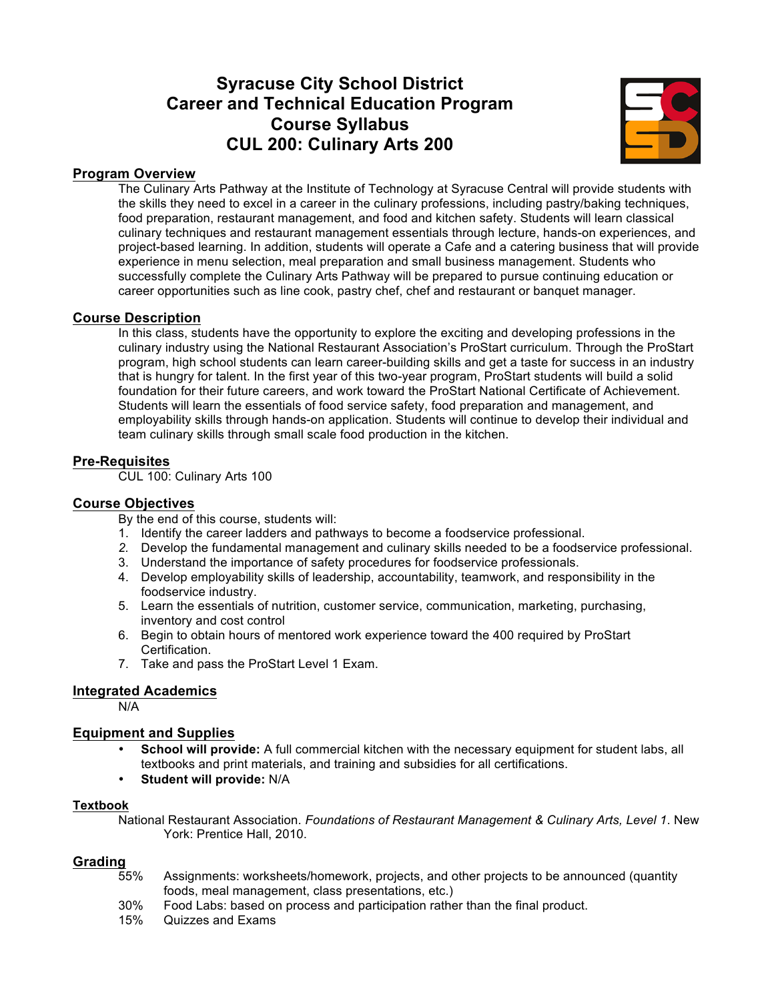# **Syracuse City School District Career and Technical Education Program Course Syllabus CUL 200: Culinary Arts 200**



#### **Program Overview**

The Culinary Arts Pathway at the Institute of Technology at Syracuse Central will provide students with the skills they need to excel in a career in the culinary professions, including pastry/baking techniques, food preparation, restaurant management, and food and kitchen safety. Students will learn classical culinary techniques and restaurant management essentials through lecture, hands-on experiences, and project-based learning. In addition, students will operate a Cafe and a catering business that will provide experience in menu selection, meal preparation and small business management. Students who successfully complete the Culinary Arts Pathway will be prepared to pursue continuing education or career opportunities such as line cook, pastry chef, chef and restaurant or banquet manager.

#### **Course Description**

In this class, students have the opportunity to explore the exciting and developing professions in the culinary industry using the National Restaurant Association's ProStart curriculum. Through the ProStart program, high school students can learn career-building skills and get a taste for success in an industry that is hungry for talent. In the first year of this two-year program, ProStart students will build a solid foundation for their future careers, and work toward the ProStart National Certificate of Achievement. Students will learn the essentials of food service safety, food preparation and management, and employability skills through hands-on application. Students will continue to develop their individual and team culinary skills through small scale food production in the kitchen.

#### **Pre-Requisites**

CUL 100: Culinary Arts 100

#### **Course Objectives**

By the end of this course, students will:

- 1. Identify the career ladders and pathways to become a foodservice professional.
- *2.* Develop the fundamental management and culinary skills needed to be a foodservice professional.
- 3. Understand the importance of safety procedures for foodservice professionals.
- 4. Develop employability skills of leadership, accountability, teamwork, and responsibility in the foodservice industry.
- 5. Learn the essentials of nutrition, customer service, communication, marketing, purchasing, inventory and cost control
- 6. Begin to obtain hours of mentored work experience toward the 400 required by ProStart Certification.
- 7. Take and pass the ProStart Level 1 Exam.

#### **Integrated Academics**

N/A

#### **Equipment and Supplies**

- **School will provide:** A full commercial kitchen with the necessary equipment for student labs, all textbooks and print materials, and training and subsidies for all certifications.
- **Student will provide:** N/A

#### **Textbook**

National Restaurant Association. *Foundations of Restaurant Management & Culinary Arts, Level 1*. New York: Prentice Hall, 2010.

#### **Grading**

- 55% Assignments: worksheets/homework, projects, and other projects to be announced (quantity foods, meal management, class presentations, etc.)
- 30% Food Labs: based on process and participation rather than the final product.
- 15% Quizzes and Exams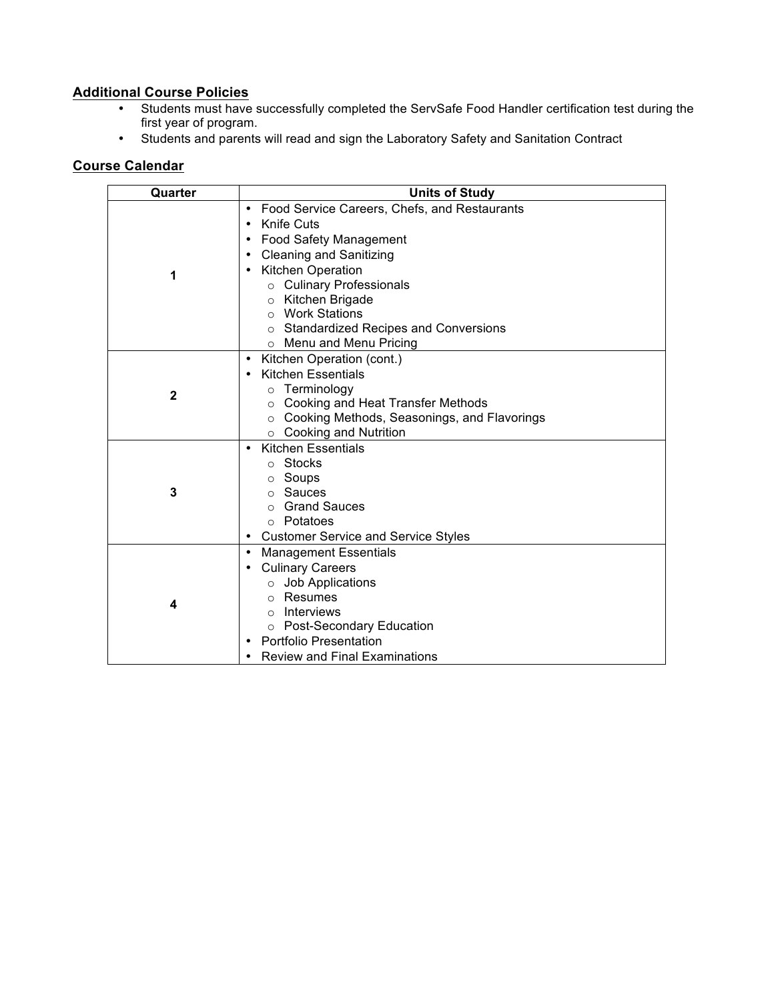### **Additional Course Policies**

- Students must have successfully completed the ServSafe Food Handler certification test during the first year of program.
- Students and parents will read and sign the Laboratory Safety and Sanitation Contract

| Quarter      | <b>Units of Study</b>                                                                                                                                                                                                                                                                                                     |
|--------------|---------------------------------------------------------------------------------------------------------------------------------------------------------------------------------------------------------------------------------------------------------------------------------------------------------------------------|
| 1            | Food Service Careers, Chefs, and Restaurants<br><b>Knife Cuts</b><br>Food Safety Management<br><b>Cleaning and Sanitizing</b><br><b>Kitchen Operation</b><br>o Culinary Professionals<br>Kitchen Brigade<br>$\circ$<br><b>Work Stations</b><br>$\circ$<br>o Standardized Recipes and Conversions<br>Menu and Menu Pricing |
| $\mathbf{2}$ | Kitchen Operation (cont.)<br><b>Kitchen Essentials</b><br>Terminology<br>Cooking and Heat Transfer Methods<br>$\circ$<br>o Cooking Methods, Seasonings, and Flavorings<br>$\circ$ Cooking and Nutrition                                                                                                                   |
| 3            | <b>Kitchen Essentials</b><br>○ Stocks<br>○ Soups<br>Sauces<br><b>Grand Sauces</b><br>$\circ$<br>○ Potatoes<br><b>Customer Service and Service Styles</b>                                                                                                                                                                  |
| 4            | <b>Management Essentials</b><br><b>Culinary Careers</b><br>Job Applications<br>Resumes<br>$\Omega$<br><b>Interviews</b><br>$\Omega$<br>○ Post-Secondary Education<br><b>Portfolio Presentation</b><br><b>Review and Final Examinations</b>                                                                                |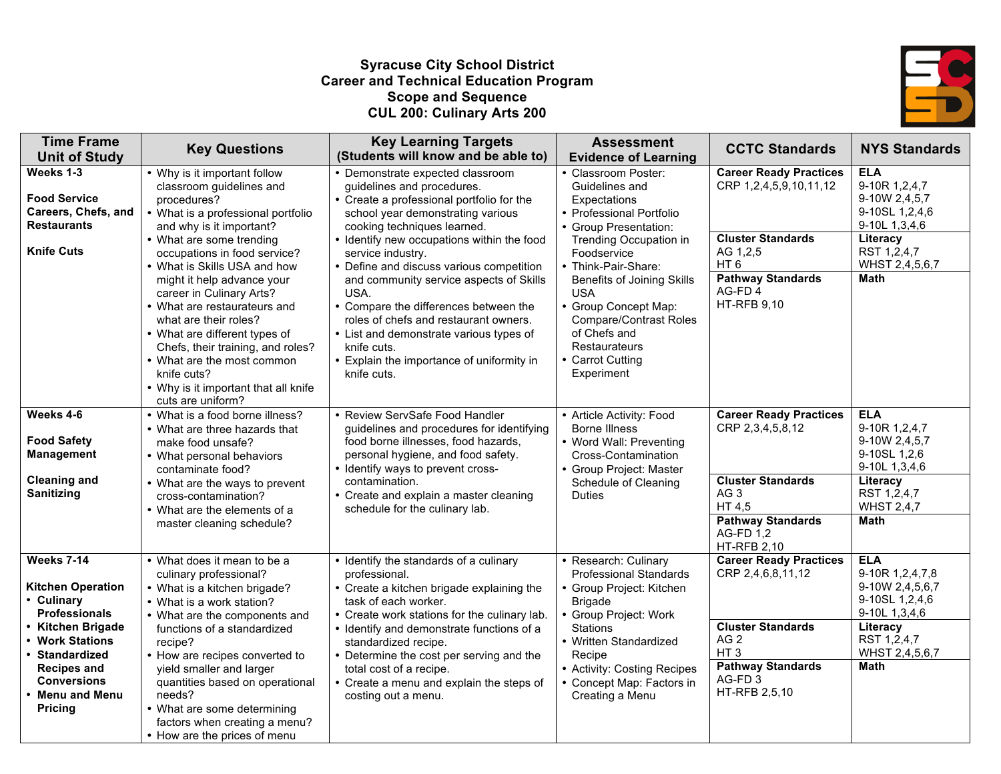#### **Syracuse City School District Career and Technical Education Program Scope and Sequence CUL 200: Culinary Arts 200**



| <b>Time Frame</b><br><b>Unit of Study</b>                                                                                                                                                                                       | <b>Key Questions</b>                                                                                                                                                                                                                                                                                                                                                                                                                                                                                                                   | <b>Key Learning Targets</b><br>(Students will know and be able to)                                                                                                                                                                                                                                                                                                                                                                                                                                                                                        | <b>Assessment</b><br><b>Evidence of Learning</b>                                                                                                                                                                                                                                                                                                          | <b>CCTC Standards</b>                                                                                                                                                            | <b>NYS Standards</b>                                                                                                                         |
|---------------------------------------------------------------------------------------------------------------------------------------------------------------------------------------------------------------------------------|----------------------------------------------------------------------------------------------------------------------------------------------------------------------------------------------------------------------------------------------------------------------------------------------------------------------------------------------------------------------------------------------------------------------------------------------------------------------------------------------------------------------------------------|-----------------------------------------------------------------------------------------------------------------------------------------------------------------------------------------------------------------------------------------------------------------------------------------------------------------------------------------------------------------------------------------------------------------------------------------------------------------------------------------------------------------------------------------------------------|-----------------------------------------------------------------------------------------------------------------------------------------------------------------------------------------------------------------------------------------------------------------------------------------------------------------------------------------------------------|----------------------------------------------------------------------------------------------------------------------------------------------------------------------------------|----------------------------------------------------------------------------------------------------------------------------------------------|
| Weeks 1-3<br><b>Food Service</b><br>Careers, Chefs, and<br><b>Restaurants</b><br><b>Knife Cuts</b>                                                                                                                              | • Why is it important follow<br>classroom guidelines and<br>procedures?<br>What is a professional portfolio<br>and why is it important?<br>• What are some trending<br>occupations in food service?<br>• What is Skills USA and how<br>might it help advance your<br>career in Culinary Arts?<br>• What are restaurateurs and<br>what are their roles?<br>• What are different types of<br>Chefs, their training, and roles?<br>• What are the most common<br>knife cuts?<br>• Why is it important that all knife<br>cuts are uniform? | • Demonstrate expected classroom<br>guidelines and procedures.<br>• Create a professional portfolio for the<br>school year demonstrating various<br>cooking techniques learned.<br>• Identify new occupations within the food<br>service industry.<br>• Define and discuss various competition<br>and community service aspects of Skills<br>USA.<br>• Compare the differences between the<br>roles of chefs and restaurant owners.<br>• List and demonstrate various types of<br>knife cuts.<br>• Explain the importance of uniformity in<br>knife cuts. | • Classroom Poster:<br>Guidelines and<br>Expectations<br>• Professional Portfolio<br>• Group Presentation:<br>Trending Occupation in<br>Foodservice<br>• Think-Pair-Share:<br><b>Benefits of Joining Skills</b><br><b>USA</b><br>• Group Concept Map:<br><b>Compare/Contrast Roles</b><br>of Chefs and<br>Restaurateurs<br>• Carrot Cutting<br>Experiment | <b>Career Ready Practices</b><br>CRP 1,2,4,5,9,10,11,12<br><b>Cluster Standards</b><br>AG 1,2,5<br>HT <sub>6</sub><br><b>Pathway Standards</b><br>AG-FD4<br><b>HT-RFB 9,10</b>   | <b>ELA</b><br>9-10R 1,2,4,7<br>9-10W 2,4,5,7<br>9-10SL 1,2,4,6<br>9-10L 1,3,4,6<br>Literacy<br>RST 1,2,4,7<br>WHST 2,4,5,6,7<br><b>Math</b>  |
| Weeks 4-6<br><b>Food Safety</b><br><b>Management</b><br><b>Cleaning and</b><br>Sanitizing                                                                                                                                       | • What is a food borne illness?<br>• What are three hazards that<br>make food unsafe?<br>• What personal behaviors<br>contaminate food?<br>• What are the ways to prevent<br>cross-contamination?<br>• What are the elements of a<br>master cleaning schedule?                                                                                                                                                                                                                                                                         | • Review ServSafe Food Handler<br>guidelines and procedures for identifying<br>food borne illnesses, food hazards,<br>personal hygiene, and food safety.<br>• Identify ways to prevent cross-<br>contamination.<br>• Create and explain a master cleaning<br>schedule for the culinary lab.                                                                                                                                                                                                                                                               | • Article Activity: Food<br><b>Borne Illness</b><br>• Word Wall: Preventing<br>Cross-Contamination<br>• Group Project: Master<br>Schedule of Cleaning<br><b>Duties</b>                                                                                                                                                                                    | <b>Career Ready Practices</b><br>CRP 2,3,4,5,8,12<br><b>Cluster Standards</b><br>AG <sub>3</sub><br>HT 4,5<br><b>Pathway Standards</b><br><b>AG-FD 1,2</b><br><b>HT-RFB 2,10</b> | <b>ELA</b><br>9-10R 1,2,4,7<br>9-10W 2,4,5,7<br>9-10SL 1,2,6<br>9-10L 1,3,4,6<br>Literacy<br>RST 1,2,4,7<br><b>WHST 2,4,7</b><br><b>Math</b> |
| Weeks 7-14<br><b>Kitchen Operation</b><br>• Culinary<br><b>Professionals</b><br><b>Kitchen Brigade</b><br><b>Work Stations</b><br><b>Standardized</b><br>Recipes and<br><b>Conversions</b><br>• Menu and Menu<br><b>Pricing</b> | • What does it mean to be a<br>culinary professional?<br>• What is a kitchen brigade?<br>• What is a work station?<br>• What are the components and<br>functions of a standardized<br>recipe?<br>• How are recipes converted to<br>yield smaller and larger<br>quantities based on operational<br>needs?<br>• What are some determining<br>factors when creating a menu?<br>• How are the prices of menu                                                                                                                               | • Identify the standards of a culinary<br>professional.<br>• Create a kitchen brigade explaining the<br>task of each worker.<br>• Create work stations for the culinary lab.<br>• Identify and demonstrate functions of a<br>standardized recipe.<br>• Determine the cost per serving and the<br>total cost of a recipe.<br>• Create a menu and explain the steps of<br>costing out a menu.                                                                                                                                                               | • Research: Culinary<br><b>Professional Standards</b><br>• Group Project: Kitchen<br><b>Brigade</b><br>• Group Project: Work<br><b>Stations</b><br>• Written Standardized<br>Recipe<br>• Activity: Costing Recipes<br>• Concept Map: Factors in<br>Creating a Menu                                                                                        | <b>Career Ready Practices</b><br>CRP 2,4,6,8,11,12<br><b>Cluster Standards</b><br>AG 2<br>HT <sub>3</sub><br><b>Pathway Standards</b><br>AG-FD <sub>3</sub><br>HT-RFB 2,5,10     | <b>ELA</b><br>9-10R 1,2,4,7,8<br>9-10W 2,4,5,6,7<br>9-10SL 1,2,4,6<br>9-10L 1,3,4,6<br>Literacy<br>RST 1,2,4,7<br>WHST 2,4,5,6,7<br>Math     |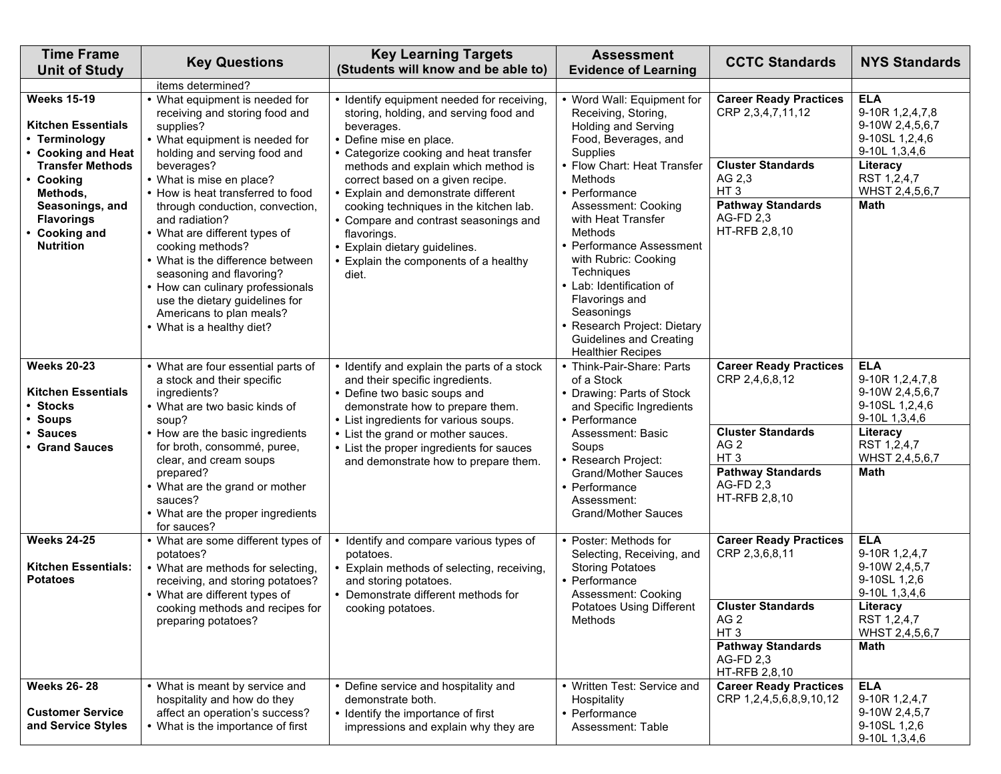| <b>Time Frame</b><br><b>Unit of Study</b>                                                                                     | <b>Key Questions</b>                                                                                                                                                                                                                                                                                                                                                                 | <b>Key Learning Targets</b><br>(Students will know and be able to)                                                                                                                                                                                                                                  | <b>Assessment</b><br><b>Evidence of Learning</b>                                                                                                                                                                                                                                                        | <b>CCTC Standards</b>                                                                                                                                                       | <b>NYS Standards</b>                                                                                                               |
|-------------------------------------------------------------------------------------------------------------------------------|--------------------------------------------------------------------------------------------------------------------------------------------------------------------------------------------------------------------------------------------------------------------------------------------------------------------------------------------------------------------------------------|-----------------------------------------------------------------------------------------------------------------------------------------------------------------------------------------------------------------------------------------------------------------------------------------------------|---------------------------------------------------------------------------------------------------------------------------------------------------------------------------------------------------------------------------------------------------------------------------------------------------------|-----------------------------------------------------------------------------------------------------------------------------------------------------------------------------|------------------------------------------------------------------------------------------------------------------------------------|
|                                                                                                                               | items determined?                                                                                                                                                                                                                                                                                                                                                                    |                                                                                                                                                                                                                                                                                                     |                                                                                                                                                                                                                                                                                                         |                                                                                                                                                                             |                                                                                                                                    |
| <b>Weeks 15-19</b><br><b>Kitchen Essentials</b><br>• Terminology<br>• Cooking and Heat                                        | • What equipment is needed for<br>receiving and storing food and<br>supplies?<br>• What equipment is needed for<br>holding and serving food and                                                                                                                                                                                                                                      | • Identify equipment needed for receiving,<br>storing, holding, and serving food and<br>beverages.<br>• Define mise en place.<br>• Categorize cooking and heat transfer                                                                                                                             | • Word Wall: Equipment for<br>Receiving, Storing,<br><b>Holding and Serving</b><br>Food, Beverages, and<br>Supplies                                                                                                                                                                                     | Career Ready Practices<br>CRP 2,3,4,7,11,12                                                                                                                                 | <b>ELA</b><br>9-10R 1,2,4,7,8<br>9-10W 2,4,5,6,7<br>9-10SL 1,2,4,6<br>9-10L 1,3,4,6                                                |
| <b>Transfer Methods</b><br>• Cooking<br>Methods,<br>Seasonings, and<br><b>Flavorings</b><br>• Cooking and<br><b>Nutrition</b> | beverages?<br>• What is mise en place?<br>• How is heat transferred to food<br>through conduction, convection,<br>and radiation?<br>• What are different types of<br>cooking methods?<br>• What is the difference between<br>seasoning and flavoring?<br>• How can culinary professionals<br>use the dietary guidelines for<br>Americans to plan meals?<br>• What is a healthy diet? | methods and explain which method is<br>correct based on a given recipe.<br>• Explain and demonstrate different<br>cooking techniques in the kitchen lab.<br>• Compare and contrast seasonings and<br>flavorings.<br>• Explain dietary guidelines.<br>• Explain the components of a healthy<br>diet. | • Flow Chart: Heat Transfer<br>Methods<br>• Performance<br>Assessment: Cooking<br>with Heat Transfer<br>Methods<br>• Performance Assessment<br>with Rubric: Cooking<br>Techniques<br>• Lab: Identification of<br>Flavorings and<br>Seasonings<br>· Research Project: Dietary<br>Guidelines and Creating | <b>Cluster Standards</b><br>AG 2.3<br>HT <sub>3</sub><br><b>Pathway Standards</b><br>AG-FD 2,3<br>HT-RFB 2,8,10                                                             | Literacy<br>RST 1,2,4,7<br>WHST 2,4,5,6,7<br>Math                                                                                  |
| <b>Weeks 20-23</b><br><b>Kitchen Essentials</b><br>• Stocks<br>• Soups                                                        | • What are four essential parts of<br>a stock and their specific<br>ingredients?<br>• What are two basic kinds of<br>soup?                                                                                                                                                                                                                                                           | • Identify and explain the parts of a stock<br>and their specific ingredients.<br>• Define two basic soups and<br>demonstrate how to prepare them.<br>• List ingredients for various soups.                                                                                                         | <b>Healthier Recipes</b><br>• Think-Pair-Share: Parts<br>of a Stock<br>• Drawing: Parts of Stock<br>and Specific Ingredients<br>• Performance                                                                                                                                                           | <b>Career Ready Practices</b><br>CRP 2,4,6,8,12                                                                                                                             | <b>ELA</b><br>9-10R 1,2,4,7,8<br>9-10W 2,4,5,6,7<br>9-10SL 1,2,4,6<br>9-10L 1,3,4,6                                                |
| • Sauces<br>• Grand Sauces                                                                                                    | • How are the basic ingredients<br>for broth, consommé, puree,<br>clear, and cream soups<br>prepared?<br>• What are the grand or mother<br>sauces?<br>• What are the proper ingredients<br>for sauces?                                                                                                                                                                               | • List the grand or mother sauces.<br>• List the proper ingredients for sauces<br>and demonstrate how to prepare them.                                                                                                                                                                              | Assessment: Basic<br>Soups<br>• Research Project:<br><b>Grand/Mother Sauces</b><br>• Performance<br>Assessment:<br><b>Grand/Mother Sauces</b>                                                                                                                                                           | <b>Cluster Standards</b><br>AG <sub>2</sub><br>HT <sub>3</sub><br><b>Pathway Standards</b><br>AG-FD 2.3<br>HT-RFB 2,8,10                                                    | Literacy<br>RST 1,2,4,7<br>WHST 2,4,5,6,7<br>Math                                                                                  |
| <b>Weeks 24-25</b><br><b>Kitchen Essentials:</b><br><b>Potatoes</b>                                                           | • What are some different types of<br>potatoes?<br>• What are methods for selecting,<br>receiving, and storing potatoes?<br>• What are different types of<br>cooking methods and recipes for<br>preparing potatoes?                                                                                                                                                                  | • Identify and compare various types of<br>potatoes.<br>• Explain methods of selecting, receiving,<br>and storing potatoes.<br>• Demonstrate different methods for<br>cooking potatoes.                                                                                                             | • Poster: Methods for<br>Selecting, Receiving, and<br><b>Storing Potatoes</b><br>• Performance<br>Assessment: Cooking<br>Potatoes Using Different<br>Methods                                                                                                                                            | <b>Career Ready Practices</b><br>CRP 2,3,6,8,11<br><b>Cluster Standards</b><br>AG <sub>2</sub><br>HT <sub>3</sub><br><b>Pathway Standards</b><br>AG-FD 2,3<br>HT-RFB 2,8,10 | <b>ELA</b><br>9-10R 1,2,4,7<br>9-10W 2,4,5,7<br>9-10SL 1,2,6<br>9-10L 1,3,4,6<br>Literacy<br>RST 1,2,4,7<br>WHST 2,4,5,6,7<br>Math |
| <b>Weeks 26-28</b><br><b>Customer Service</b><br>and Service Styles                                                           | • What is meant by service and<br>hospitality and how do they<br>affect an operation's success?<br>• What is the importance of first                                                                                                                                                                                                                                                 | • Define service and hospitality and<br>demonstrate both.<br>• Identify the importance of first<br>impressions and explain why they are                                                                                                                                                             | • Written Test: Service and<br>Hospitality<br>• Performance<br>Assessment: Table                                                                                                                                                                                                                        | <b>Career Ready Practices</b><br>CRP 1,2,4,5,6,8,9,10,12                                                                                                                    | <b>ELA</b><br>9-10R 1,2,4,7<br>9-10W 2,4,5,7<br>9-10SL 1,2,6<br>9-10L 1,3,4,6                                                      |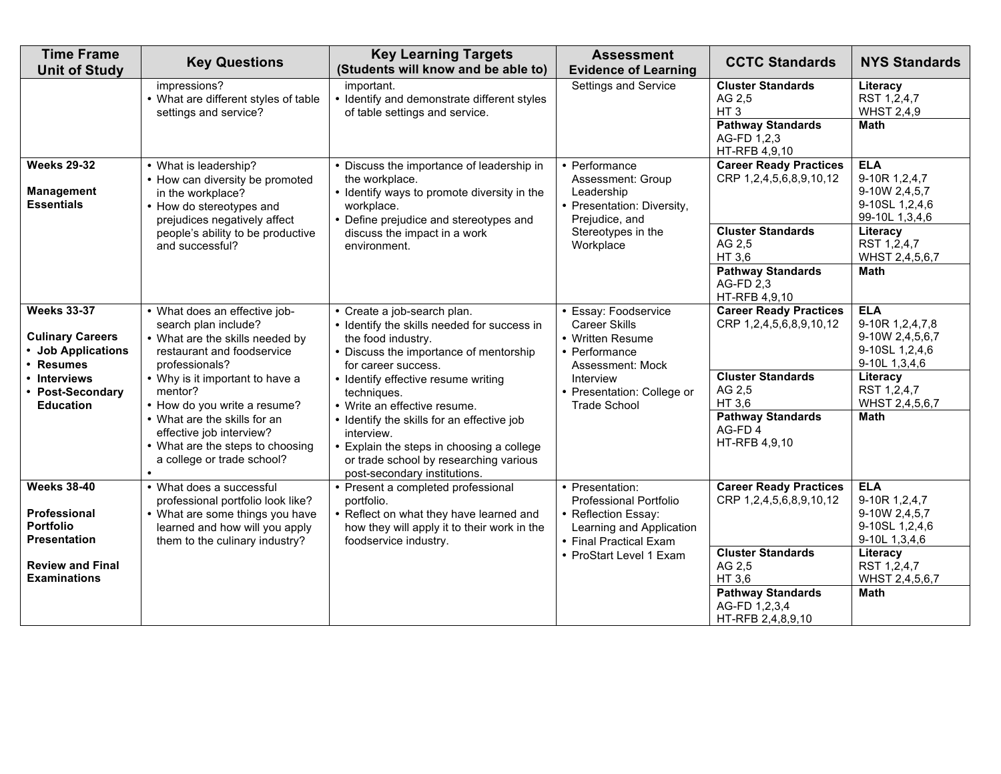| <b>Time Frame</b><br><b>Unit of Study</b>                                        | <b>Key Questions</b>                                                                                                                                                       | <b>Key Learning Targets</b><br>(Students will know and be able to)                                                                                                                          | <b>Assessment</b><br><b>Evidence of Learning</b>                                                                       | <b>CCTC Standards</b>                                                                                             | <b>NYS Standards</b>                                                                |
|----------------------------------------------------------------------------------|----------------------------------------------------------------------------------------------------------------------------------------------------------------------------|---------------------------------------------------------------------------------------------------------------------------------------------------------------------------------------------|------------------------------------------------------------------------------------------------------------------------|-------------------------------------------------------------------------------------------------------------------|-------------------------------------------------------------------------------------|
|                                                                                  | impressions?<br>• What are different styles of table<br>settings and service?                                                                                              | important.<br>• Identify and demonstrate different styles<br>of table settings and service.                                                                                                 | Settings and Service                                                                                                   | <b>Cluster Standards</b><br>AG 2,5<br>HT <sub>3</sub><br><b>Pathway Standards</b><br>AG-FD 1,2,3<br>HT-RFB 4,9,10 | Literacy<br>RST 1,2,4,7<br><b>WHST 2,4,9</b><br><b>Math</b>                         |
| <b>Weeks 29-32</b><br><b>Management</b><br><b>Essentials</b>                     | • What is leadership?<br>• How can diversity be promoted<br>in the workplace?<br>• How do stereotypes and<br>prejudices negatively affect                                  | • Discuss the importance of leadership in<br>the workplace.<br>• Identify ways to promote diversity in the<br>workplace.<br>• Define prejudice and stereotypes and                          | • Performance<br>Assessment: Group<br>Leadership<br>• Presentation: Diversity,<br>Prejudice, and                       | <b>Career Ready Practices</b><br>CRP 1,2,4,5,6,8,9,10,12                                                          | <b>ELA</b><br>9-10R 1,2,4,7<br>9-10W 2,4,5,7<br>9-10SL 1,2,4,6<br>99-10L 1,3,4,6    |
|                                                                                  | people's ability to be productive<br>and successful?                                                                                                                       | discuss the impact in a work<br>environment.                                                                                                                                                | Stereotypes in the<br>Workplace                                                                                        | <b>Cluster Standards</b><br>AG 2,5<br>HT 3.6<br><b>Pathway Standards</b><br><b>AG-FD 2,3</b><br>HT-RFB 4,9,10     | Literacy<br>RST 1,2,4,7<br>WHST 2,4,5,6,7<br><b>Math</b>                            |
| <b>Weeks 33-37</b><br><b>Culinary Careers</b><br>• Job Applications<br>• Resumes | • What does an effective job-<br>search plan include?<br>• What are the skills needed by<br>restaurant and foodservice<br>professionals?                                   | • Create a job-search plan.<br>• Identify the skills needed for success in<br>the food industry.<br>• Discuss the importance of mentorship<br>for career success.                           | • Essay: Foodservice<br><b>Career Skills</b><br>• Written Resume<br>• Performance<br>Assessment: Mock                  | <b>Career Ready Practices</b><br>CRP 1,2,4,5,6,8,9,10,12                                                          | <b>ELA</b><br>9-10R 1,2,4,7,8<br>9-10W 2,4,5,6,7<br>9-10SL 1,2,4,6<br>9-10L 1,3,4,6 |
| • Interviews<br>• Post-Secondary<br><b>Education</b>                             | • Why is it important to have a<br>mentor?<br>• How do you write a resume?<br>• What are the skills for an<br>effective job interview?<br>• What are the steps to choosing | • Identify effective resume writing<br>techniques.<br>• Write an effective resume.<br>• Identify the skills for an effective job<br>interview.<br>• Explain the steps in choosing a college | Interview<br>• Presentation: College or<br><b>Trade School</b>                                                         | <b>Cluster Standards</b><br>AG 2,5<br>HT 3,6<br><b>Pathway Standards</b><br>AG-FD4<br>HT-RFB 4,9,10               | Literacy<br>RST 1,2,4,7<br>WHST 2,4,5,6,7<br>Math                                   |
|                                                                                  | a college or trade school?                                                                                                                                                 | or trade school by researching various<br>post-secondary institutions.                                                                                                                      |                                                                                                                        |                                                                                                                   |                                                                                     |
| <b>Weeks 38-40</b><br>Professional<br><b>Portfolio</b><br><b>Presentation</b>    | • What does a successful<br>professional portfolio look like?<br>• What are some things you have<br>learned and how will you apply<br>them to the culinary industry?       | • Present a completed professional<br>portfolio.<br>• Reflect on what they have learned and<br>how they will apply it to their work in the<br>foodservice industry.                         | • Presentation:<br>Professional Portfolio<br>• Reflection Essay:<br>Learning and Application<br>• Final Practical Exam | <b>Career Ready Practices</b><br>CRP 1,2,4,5,6,8,9,10,12                                                          | <b>ELA</b><br>9-10R 1,2,4,7<br>9-10W 2,4,5,7<br>9-10SL 1,2,4,6<br>9-10L 1,3,4,6     |
| <b>Review and Final</b><br><b>Examinations</b>                                   |                                                                                                                                                                            |                                                                                                                                                                                             | • ProStart Level 1 Exam                                                                                                | <b>Cluster Standards</b><br>AG 2,5<br>HT 3,6<br><b>Pathway Standards</b><br>AG-FD 1,2,3,4<br>HT-RFB 2,4,8,9,10    | Literacy<br>RST 1,2,4,7<br>WHST 2,4,5,6,7<br><b>Math</b>                            |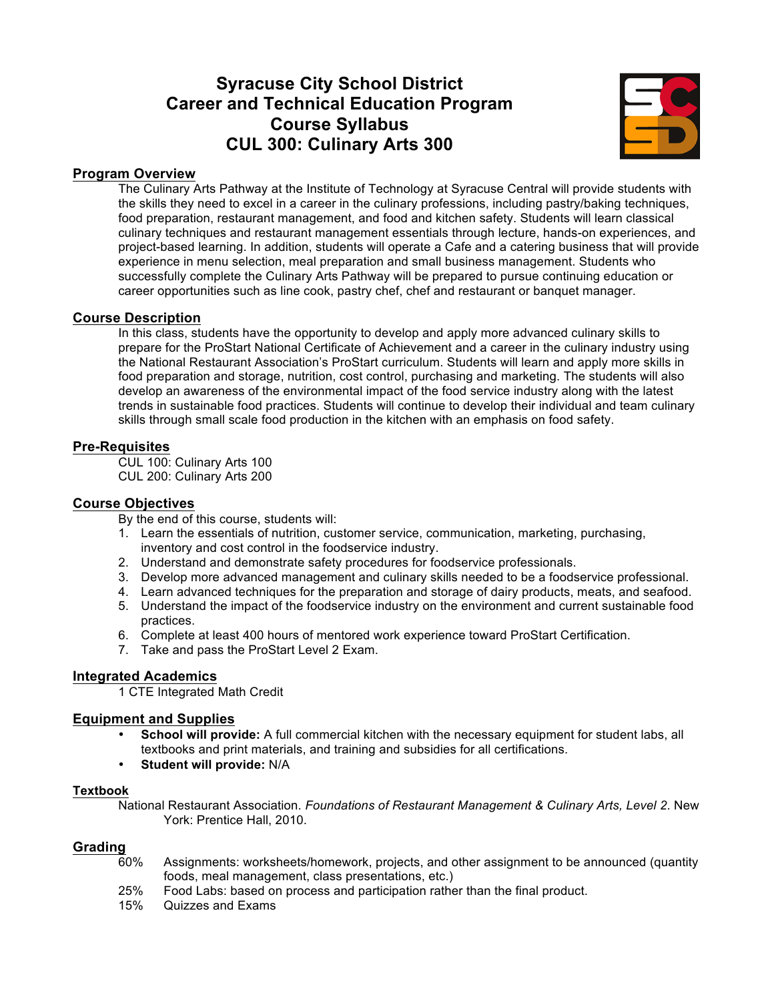# **Syracuse City School District Career and Technical Education Program Course Syllabus CUL 300: Culinary Arts 300**



#### **Program Overview**

The Culinary Arts Pathway at the Institute of Technology at Syracuse Central will provide students with the skills they need to excel in a career in the culinary professions, including pastry/baking techniques, food preparation, restaurant management, and food and kitchen safety. Students will learn classical culinary techniques and restaurant management essentials through lecture, hands-on experiences, and project-based learning. In addition, students will operate a Cafe and a catering business that will provide experience in menu selection, meal preparation and small business management. Students who successfully complete the Culinary Arts Pathway will be prepared to pursue continuing education or career opportunities such as line cook, pastry chef, chef and restaurant or banquet manager.

#### **Course Description**

In this class, students have the opportunity to develop and apply more advanced culinary skills to prepare for the ProStart National Certificate of Achievement and a career in the culinary industry using the National Restaurant Association's ProStart curriculum. Students will learn and apply more skills in food preparation and storage, nutrition, cost control, purchasing and marketing. The students will also develop an awareness of the environmental impact of the food service industry along with the latest trends in sustainable food practices. Students will continue to develop their individual and team culinary skills through small scale food production in the kitchen with an emphasis on food safety.

#### **Pre-Requisites**

CUL 100: Culinary Arts 100 CUL 200: Culinary Arts 200

#### **Course Objectives**

By the end of this course, students will:

- 1. Learn the essentials of nutrition, customer service, communication, marketing, purchasing, inventory and cost control in the foodservice industry.
- 2. Understand and demonstrate safety procedures for foodservice professionals.
- 3. Develop more advanced management and culinary skills needed to be a foodservice professional.
- 4. Learn advanced techniques for the preparation and storage of dairy products, meats, and seafood.
- 5. Understand the impact of the foodservice industry on the environment and current sustainable food practices.
- 6. Complete at least 400 hours of mentored work experience toward ProStart Certification.
- 7. Take and pass the ProStart Level 2 Exam.

#### **Integrated Academics**

1 CTE Integrated Math Credit

#### **Equipment and Supplies**

- **School will provide:** A full commercial kitchen with the necessary equipment for student labs, all textbooks and print materials, and training and subsidies for all certifications.
- **Student will provide:** N/A

#### **Textbook**

National Restaurant Association. *Foundations of Restaurant Management & Culinary Arts, Level 2*. New York: Prentice Hall, 2010.

# Grading<sub>60%</sub>

- Assignments: worksheets/homework, projects, and other assignment to be announced (quantity foods, meal management, class presentations, etc.)
- 25% Food Labs: based on process and participation rather than the final product.
- 15% Quizzes and Exams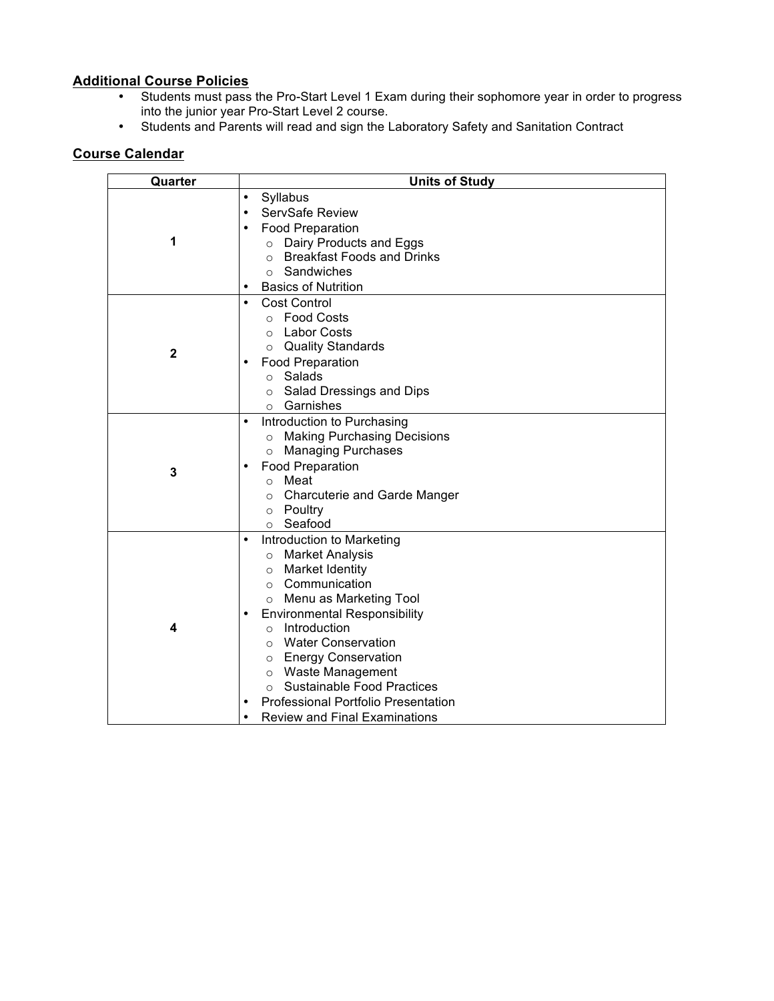## **Additional Course Policies**

- Students must pass the Pro-Start Level 1 Exam during their sophomore year in order to progress into the junior year Pro-Start Level 2 course.
- Students and Parents will read and sign the Laboratory Safety and Sanitation Contract

| Quarter      | <b>Units of Study</b>                                                                                                                                                                                                                                                                                                                                                                                                                                                              |  |  |
|--------------|------------------------------------------------------------------------------------------------------------------------------------------------------------------------------------------------------------------------------------------------------------------------------------------------------------------------------------------------------------------------------------------------------------------------------------------------------------------------------------|--|--|
| 1            | Syllabus<br>٠<br>ServSafe Review<br>٠<br><b>Food Preparation</b><br>Dairy Products and Eggs<br>$\circ$<br><b>Breakfast Foods and Drinks</b><br>$\circ$<br>Sandwiches<br>$\circ$<br><b>Basics of Nutrition</b><br>٠                                                                                                                                                                                                                                                                 |  |  |
| $\mathbf{2}$ | Cost Control<br>$\bullet$<br><b>Food Costs</b><br>$\circ$<br>Labor Costs<br>$\Omega$<br>o Quality Standards<br><b>Food Preparation</b><br>٠<br>Salads<br>$\circ$<br>Salad Dressings and Dips<br>$\circ$<br>Garnishes<br>$\circ$                                                                                                                                                                                                                                                    |  |  |
| 3            | Introduction to Purchasing<br>$\bullet$<br><b>Making Purchasing Decisions</b><br>$\circ$<br><b>Managing Purchases</b><br>$\circ$<br><b>Food Preparation</b><br>o Meat<br><b>Charcuterie and Garde Manger</b><br>$\circ$<br>o Poultry<br>Seafood<br>$\circ$                                                                                                                                                                                                                         |  |  |
| 4            | Introduction to Marketing<br>$\bullet$<br>○ Market Analysis<br><b>Market Identity</b><br>$\circ$<br>Communication<br>$\circ$<br>Menu as Marketing Tool<br>$\circ$<br><b>Environmental Responsibility</b><br>Introduction<br>$\circ$<br><b>Water Conservation</b><br>$\bigcirc$<br>o Energy Conservation<br><b>Waste Management</b><br>$\circ$<br><b>Sustainable Food Practices</b><br>$\Omega$<br>Professional Portfolio Presentation<br><b>Review and Final Examinations</b><br>٠ |  |  |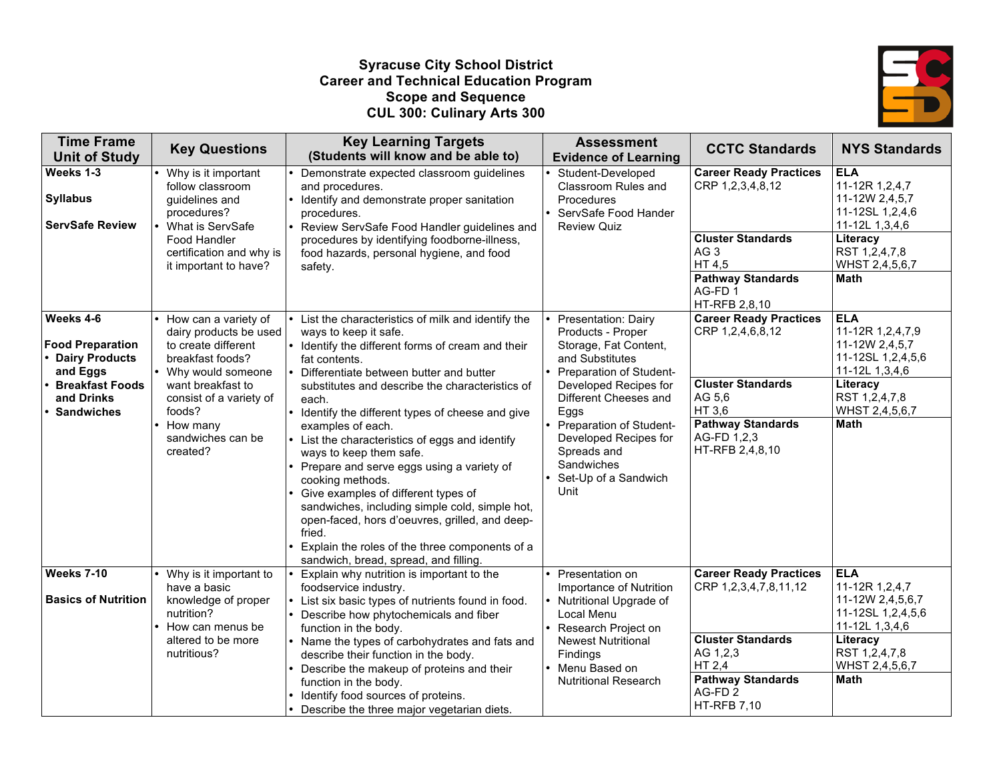#### **Syracuse City School District Career and Technical Education Program Scope and Sequence CUL 300: Culinary Arts 300**



| <b>Time Frame</b><br><b>Unit of Study</b>                                                                                              | <b>Key Questions</b>                                                                                                                                                                                                  | <b>Key Learning Targets</b><br>(Students will know and be able to)                                                                                                                                                                                                                                                                                                                                                                                                                                                                                                                                                                                                                                                           | <b>Assessment</b><br><b>Evidence of Learning</b>                                                                                                                                                                                                                                           | <b>CCTC Standards</b>                                                                                                                                                            | <b>NYS Standards</b>                                                                                                                                  |
|----------------------------------------------------------------------------------------------------------------------------------------|-----------------------------------------------------------------------------------------------------------------------------------------------------------------------------------------------------------------------|------------------------------------------------------------------------------------------------------------------------------------------------------------------------------------------------------------------------------------------------------------------------------------------------------------------------------------------------------------------------------------------------------------------------------------------------------------------------------------------------------------------------------------------------------------------------------------------------------------------------------------------------------------------------------------------------------------------------------|--------------------------------------------------------------------------------------------------------------------------------------------------------------------------------------------------------------------------------------------------------------------------------------------|----------------------------------------------------------------------------------------------------------------------------------------------------------------------------------|-------------------------------------------------------------------------------------------------------------------------------------------------------|
| Weeks 1-3<br><b>Syllabus</b><br><b>ServSafe Review</b>                                                                                 | Why is it important<br>follow classroom<br>quidelines and<br>procedures?<br>What is ServSafe<br>Food Handler<br>certification and why is<br>it important to have?                                                     | Demonstrate expected classroom guidelines<br>and procedures.<br>Identify and demonstrate proper sanitation<br>procedures.<br>Review ServSafe Food Handler guidelines and<br>procedures by identifying foodborne-illness,<br>food hazards, personal hygiene, and food<br>safety.                                                                                                                                                                                                                                                                                                                                                                                                                                              | Student-Developed<br>Classroom Rules and<br>Procedures<br>ServSafe Food Hander<br><b>Review Quiz</b>                                                                                                                                                                                       | <b>Career Ready Practices</b><br>CRP 1,2,3,4,8,12<br><b>Cluster Standards</b><br>AG <sub>3</sub><br>HT 4,5<br><b>Pathway Standards</b><br>AG-FD <sub>1</sub>                     | <b>ELA</b><br>11-12R 1,2,4,7<br>11-12W 2,4,5,7<br>11-12SL 1,2,4,6<br>11-12L 1,3,4,6<br>Literacy<br>RST 1,2,4,7,8<br>WHST 2,4,5,6,7<br><b>Math</b>     |
| Weeks 4-6<br><b>Food Preparation</b><br><b>Dairy Products</b><br>and Eggs<br><b>Breakfast Foods</b><br>and Drinks<br><b>Sandwiches</b> | How can a variety of<br>dairy products be used<br>to create different<br>breakfast foods?<br>Why would someone<br>want breakfast to<br>consist of a variety of<br>foods?<br>How many<br>sandwiches can be<br>created? | List the characteristics of milk and identify the<br>ways to keep it safe.<br>• Identify the different forms of cream and their<br>fat contents.<br>Differentiate between butter and butter<br>substitutes and describe the characteristics of<br>each.<br>Identify the different types of cheese and give<br>examples of each.<br>List the characteristics of eggs and identify<br>ways to keep them safe.<br>Prepare and serve eggs using a variety of<br>cooking methods.<br>Give examples of different types of<br>sandwiches, including simple cold, simple hot,<br>open-faced, hors d'oeuvres, grilled, and deep-<br>fried.<br>Explain the roles of the three components of a<br>sandwich, bread, spread, and filling. | Presentation: Dairy<br>Products - Proper<br>Storage, Fat Content,<br>and Substitutes<br>Preparation of Student-<br>Developed Recipes for<br>Different Cheeses and<br>Eggs<br>Preparation of Student-<br>Developed Recipes for<br>Spreads and<br>Sandwiches<br>Set-Up of a Sandwich<br>Unit | HT-RFB 2,8,10<br><b>Career Ready Practices</b><br>CRP 1,2,4,6,8,12<br><b>Cluster Standards</b><br>AG 5,6<br>HT 3,6<br><b>Pathway Standards</b><br>AG-FD 1,2,3<br>HT-RFB 2,4,8,10 | <b>ELA</b><br>11-12R 1,2,4,7,9<br>11-12W 2,4,5,7<br>11-12SL 1,2,4,5,6<br>11-12L 1,3,4,6<br>Literacy<br>RST 1,2,4,7,8<br>WHST 2,4,5,6,7<br>Math        |
| <b>Weeks 7-10</b><br><b>Basics of Nutrition</b>                                                                                        | Why is it important to<br>have a basic<br>knowledge of proper<br>nutrition?<br>How can menus be<br>altered to be more<br>nutritious?                                                                                  | Explain why nutrition is important to the<br>foodservice industry.<br>List six basic types of nutrients found in food.<br>Describe how phytochemicals and fiber<br>function in the body.<br>Name the types of carbohydrates and fats and<br>describe their function in the body.<br>Describe the makeup of proteins and their<br>function in the body.<br>Identify food sources of proteins.<br>Describe the three major vegetarian diets.                                                                                                                                                                                                                                                                                   | Presentation on<br>Importance of Nutrition<br>Nutritional Upgrade of<br>Local Menu<br>Research Project on<br><b>Newest Nutritional</b><br>Findings<br>Menu Based on<br><b>Nutritional Research</b>                                                                                         | <b>Career Ready Practices</b><br>CRP 1,2,3,4,7,8,11,12<br><b>Cluster Standards</b><br>AG 1,2,3<br>HT 2,4<br><b>Pathway Standards</b><br>AG-FD <sub>2</sub><br><b>HT-RFB 7,10</b> | <b>ELA</b><br>11-12R 1,2,4,7<br>11-12W 2,4,5,6,7<br>11-12SL 1,2,4,5,6<br>11-12L 1,3,4,6<br>Literacy<br>RST 1,2,4,7,8<br>WHST 2,4,5,6,7<br><b>Math</b> |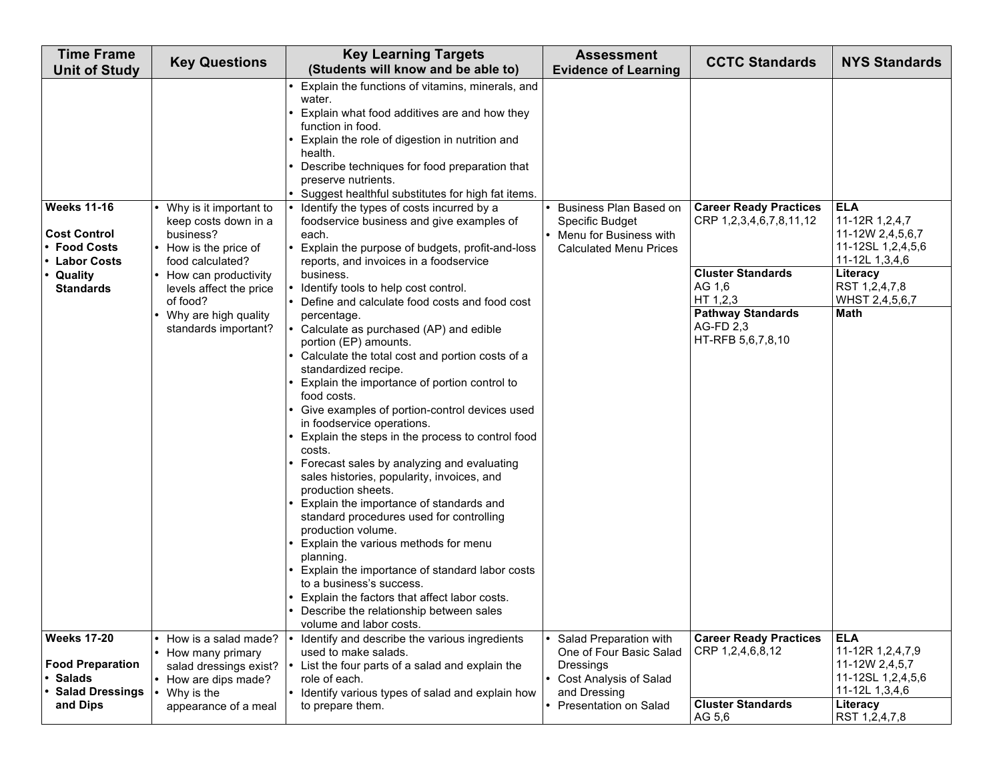| <b>Time Frame</b><br><b>Unit of Study</b>                                      | <b>Key Questions</b>                                                                                       | <b>Key Learning Targets</b><br>(Students will know and be able to)                                                                                                                                                                                                                                                                                                                                                                                                                                                                                                                                                                                                                                                                                                                                                                                                                                             | <b>Assessment</b><br><b>Evidence of Learning</b>                                                        | <b>CCTC Standards</b>                                                                       | <b>NYS Standards</b>                                                                  |
|--------------------------------------------------------------------------------|------------------------------------------------------------------------------------------------------------|----------------------------------------------------------------------------------------------------------------------------------------------------------------------------------------------------------------------------------------------------------------------------------------------------------------------------------------------------------------------------------------------------------------------------------------------------------------------------------------------------------------------------------------------------------------------------------------------------------------------------------------------------------------------------------------------------------------------------------------------------------------------------------------------------------------------------------------------------------------------------------------------------------------|---------------------------------------------------------------------------------------------------------|---------------------------------------------------------------------------------------------|---------------------------------------------------------------------------------------|
| <b>Weeks 11-16</b>                                                             | Why is it important to                                                                                     | Explain the functions of vitamins, minerals, and<br>water.<br>Explain what food additives are and how they<br>function in food.<br>Explain the role of digestion in nutrition and<br>health.<br>Describe techniques for food preparation that<br>preserve nutrients.<br>Suggest healthful substitutes for high fat items.<br>Identify the types of costs incurred by a                                                                                                                                                                                                                                                                                                                                                                                                                                                                                                                                         | Business Plan Based on                                                                                  | <b>Career Ready Practices</b>                                                               | <b>ELA</b>                                                                            |
| <b>Cost Control</b><br><b>Food Costs</b><br><b>Labor Costs</b>                 | keep costs down in a<br>business?<br>• How is the price of<br>food calculated?                             | foodservice business and give examples of<br>each.<br>Explain the purpose of budgets, profit-and-loss<br>reports, and invoices in a foodservice                                                                                                                                                                                                                                                                                                                                                                                                                                                                                                                                                                                                                                                                                                                                                                | Specific Budget<br>Menu for Business with<br><b>Calculated Menu Prices</b>                              | CRP 1,2,3,4,6,7,8,11,12                                                                     | 11-12R 1,2,4,7<br>11-12W 2,4,5,6,7<br>11-12SL 1,2,4,5,6<br>11-12L 1,3,4,6             |
| Quality<br><b>Standards</b>                                                    | • How can productivity<br>levels affect the price<br>of food?                                              | business.<br>Identify tools to help cost control.<br>Define and calculate food costs and food cost                                                                                                                                                                                                                                                                                                                                                                                                                                                                                                                                                                                                                                                                                                                                                                                                             |                                                                                                         | <b>Cluster Standards</b><br>AG 1,6<br>HT 1,2,3                                              | Literacy<br>RST 1,2,4,7,8<br>WHST 2,4,5,6,7                                           |
| <b>Weeks 17-20</b>                                                             | • Why are high quality<br>standards important?<br>How is a salad made?                                     | percentage.<br>Calculate as purchased (AP) and edible<br>portion (EP) amounts.<br>Calculate the total cost and portion costs of a<br>standardized recipe.<br>Explain the importance of portion control to<br>food costs.<br>Give examples of portion-control devices used<br>in foodservice operations.<br>Explain the steps in the process to control food<br>costs.<br>Forecast sales by analyzing and evaluating<br>sales histories, popularity, invoices, and<br>production sheets.<br>Explain the importance of standards and<br>standard procedures used for controlling<br>production volume.<br>Explain the various methods for menu<br>planning.<br>Explain the importance of standard labor costs<br>to a business's success.<br>Explain the factors that affect labor costs.<br>Describe the relationship between sales<br>volume and labor costs.<br>Identify and describe the various ingredients | Salad Preparation with                                                                                  | <b>Pathway Standards</b><br>AG-FD 2.3<br>HT-RFB 5,6,7,8,10<br><b>Career Ready Practices</b> | <b>Math</b><br><b>ELA</b>                                                             |
| <b>Food Preparation</b><br><b>Salads</b><br><b>Salad Dressings</b><br>and Dips | • How many primary<br>salad dressings exist?<br>• How are dips made?<br>Why is the<br>appearance of a meal | used to make salads.<br>List the four parts of a salad and explain the<br>role of each.<br>• Identify various types of salad and explain how<br>to prepare them.                                                                                                                                                                                                                                                                                                                                                                                                                                                                                                                                                                                                                                                                                                                                               | One of Four Basic Salad<br>Dressings<br>Cost Analysis of Salad<br>and Dressing<br>Presentation on Salad | CRP 1,2,4,6,8,12<br><b>Cluster Standards</b>                                                | 11-12R 1,2,4,7,9<br>11-12W 2,4,5,7<br>11-12SL 1,2,4,5,6<br>11-12L 1,3,4,6<br>Literacy |
|                                                                                |                                                                                                            |                                                                                                                                                                                                                                                                                                                                                                                                                                                                                                                                                                                                                                                                                                                                                                                                                                                                                                                |                                                                                                         | AG 5,6                                                                                      | RST 1,2,4,7,8                                                                         |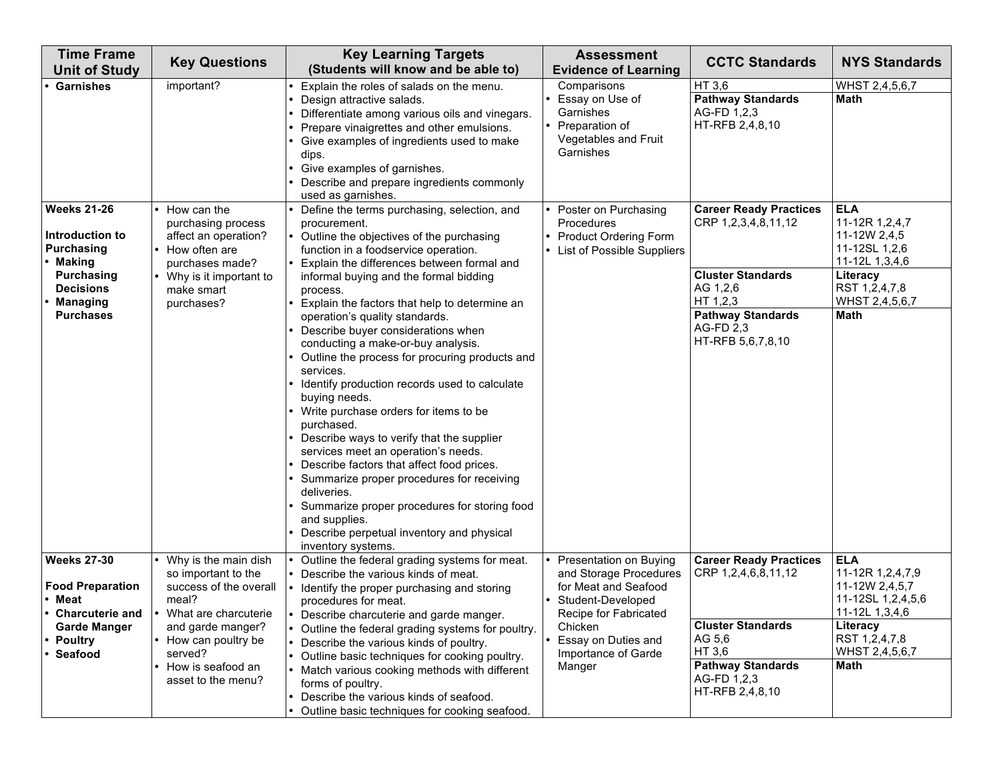| <b>Time Frame</b><br><b>Unit of Study</b>                              | <b>Key Questions</b>                                                                          | <b>Key Learning Targets</b><br>(Students will know and be able to)                                                                                                                                                                                                                                                                                                                                                                                                                                                                                                                                                                                 | <b>Assessment</b><br><b>Evidence of Learning</b>                                                 | <b>CCTC Standards</b>                                                                                      | <b>NYS Standards</b>                                                            |
|------------------------------------------------------------------------|-----------------------------------------------------------------------------------------------|----------------------------------------------------------------------------------------------------------------------------------------------------------------------------------------------------------------------------------------------------------------------------------------------------------------------------------------------------------------------------------------------------------------------------------------------------------------------------------------------------------------------------------------------------------------------------------------------------------------------------------------------------|--------------------------------------------------------------------------------------------------|------------------------------------------------------------------------------------------------------------|---------------------------------------------------------------------------------|
| <b>Garnishes</b>                                                       | important?                                                                                    | Explain the roles of salads on the menu.<br>Design attractive salads.<br>Differentiate among various oils and vinegars.                                                                                                                                                                                                                                                                                                                                                                                                                                                                                                                            | Comparisons<br>Essay on Use of<br>Garnishes<br>Preparation of                                    | HT 3,6<br><b>Pathway Standards</b><br>AG-FD 1,2,3<br>HT-RFB 2,4,8,10                                       | WHST 2,4,5,6,7<br>Math                                                          |
|                                                                        |                                                                                               | Prepare vinaigrettes and other emulsions.<br>Give examples of ingredients used to make<br>dips.<br>Give examples of garnishes.<br>Describe and prepare ingredients commonly<br>used as garnishes.                                                                                                                                                                                                                                                                                                                                                                                                                                                  | Vegetables and Fruit<br>Garnishes                                                                |                                                                                                            |                                                                                 |
| <b>Weeks 21-26</b><br>Introduction to<br><b>Purchasing</b><br>• Making | How can the<br>purchasing process<br>affect an operation?<br>How often are<br>purchases made? | Define the terms purchasing, selection, and<br>procurement.<br>Outline the objectives of the purchasing<br>function in a foodservice operation.<br>Explain the differences between formal and                                                                                                                                                                                                                                                                                                                                                                                                                                                      | Poster on Purchasing<br>Procedures<br><b>Product Ordering Form</b><br>List of Possible Suppliers | <b>Career Ready Practices</b><br>CRP 1,2,3,4,8,11,12                                                       | <b>ELA</b><br>11-12R 1,2,4,7<br>11-12W 2,4,5<br>11-12SL 1,2,6<br>11-12L 1,3,4,6 |
| <b>Purchasing</b><br><b>Decisions</b><br>Managing<br><b>Purchases</b>  | Why is it important to<br>make smart<br>purchases?                                            | informal buying and the formal bidding<br>process.<br>Explain the factors that help to determine an<br>operation's quality standards.                                                                                                                                                                                                                                                                                                                                                                                                                                                                                                              |                                                                                                  | <b>Cluster Standards</b><br>AG 1,2,6<br>HT 1,2,3<br><b>Pathway Standards</b>                               | Literacy<br>RST 1,2,4,7,8<br>WHST 2,4,5,6,7<br><b>Math</b>                      |
| <b>Weeks 27-30</b>                                                     | Why is the main dish                                                                          | Describe buyer considerations when<br>conducting a make-or-buy analysis.<br>Outline the process for procuring products and<br>services.<br>Identify production records used to calculate<br>buying needs.<br>Write purchase orders for items to be<br>purchased.<br>Describe ways to verify that the supplier<br>services meet an operation's needs.<br>Describe factors that affect food prices.<br>Summarize proper procedures for receiving<br>deliveries.<br>Summarize proper procedures for storing food<br>and supplies.<br>Describe perpetual inventory and physical<br>inventory systems.<br>Outline the federal grading systems for meat. | Presentation on Buying                                                                           | AG-FD 2,3<br>HT-RFB 5,6,7,8,10<br><b>Career Ready Practices</b>                                            | <b>ELA</b>                                                                      |
| <b>Food Preparation</b><br>• Meat<br><b>Charcuterie and</b>            | so important to the<br>success of the overall<br>meal?<br>• What are charcuterie              | Describe the various kinds of meat.<br>Identify the proper purchasing and storing<br>procedures for meat.<br>Describe charcuterie and garde manger.                                                                                                                                                                                                                                                                                                                                                                                                                                                                                                | and Storage Procedures<br>for Meat and Seafood<br>Student-Developed<br>Recipe for Fabricated     | CRP 1,2,4,6,8,11,12                                                                                        | 11-12R 1,2,4,7,9<br>11-12W 2,4,5,7<br>11-12SL 1,2,4,5,6<br>11-12L 1,3,4,6       |
| <b>Garde Manger</b><br><b>Poultry</b><br>• Seafood                     | and garde manger?<br>How can poultry be<br>served?<br>How is seafood an<br>asset to the menu? | Outline the federal grading systems for poultry.<br>Describe the various kinds of poultry.<br>Outline basic techniques for cooking poultry.<br>$\bullet$<br>Match various cooking methods with different<br>forms of poultry.                                                                                                                                                                                                                                                                                                                                                                                                                      | Chicken<br>Essay on Duties and<br>Importance of Garde<br>Manger                                  | <b>Cluster Standards</b><br>AG 5,6<br>HT 3,6<br><b>Pathway Standards</b><br>AG-FD 1,2,3<br>HT-RFB 2,4,8,10 | Literacy<br>RST 1,2,4,7,8<br>WHST 2,4,5,6,7<br><b>Math</b>                      |
|                                                                        |                                                                                               | Describe the various kinds of seafood.<br>Outline basic techniques for cooking seafood.                                                                                                                                                                                                                                                                                                                                                                                                                                                                                                                                                            |                                                                                                  |                                                                                                            |                                                                                 |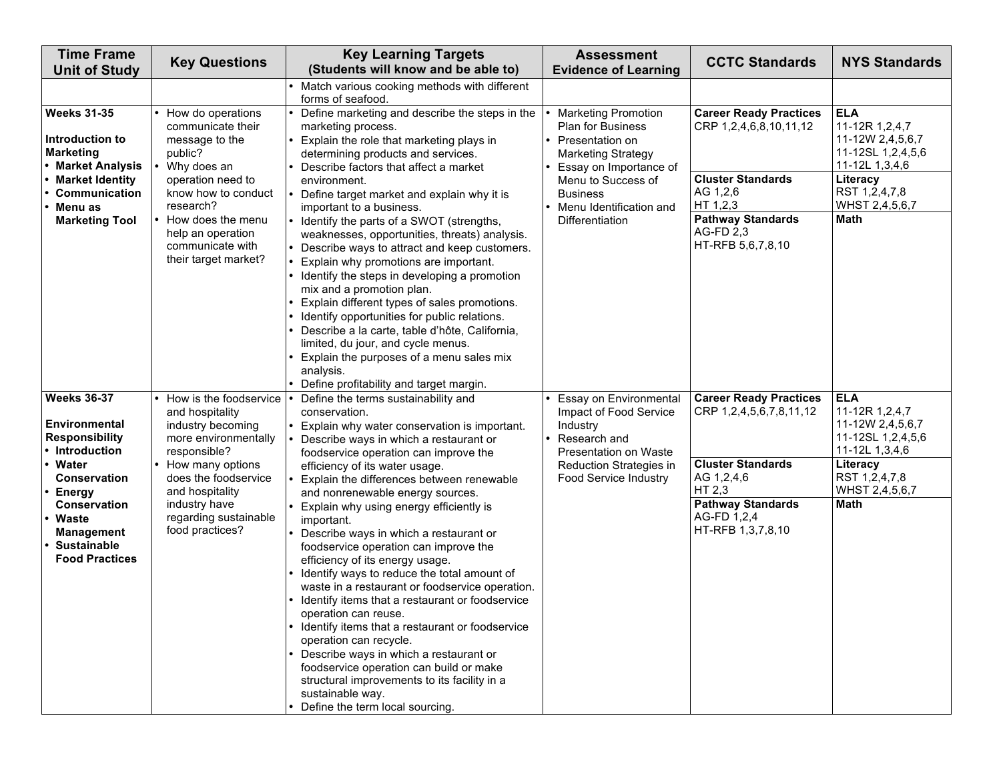| <b>Time Frame</b><br><b>Unit of Study</b>                                                                                                                                                                                         | <b>Key Questions</b>                                                                                                                                                                                                               | <b>Key Learning Targets</b><br>(Students will know and be able to)                                                                                                                                                                                                                                                                                                                                                                                                                                                                                                                                                                                                                                                                                                                                                                                                                                               | <b>Assessment</b><br><b>Evidence of Learning</b>                                                                                                                   | <b>CCTC Standards</b>                                                                                                                                                        | <b>NYS Standards</b>                                                                                                                           |
|-----------------------------------------------------------------------------------------------------------------------------------------------------------------------------------------------------------------------------------|------------------------------------------------------------------------------------------------------------------------------------------------------------------------------------------------------------------------------------|------------------------------------------------------------------------------------------------------------------------------------------------------------------------------------------------------------------------------------------------------------------------------------------------------------------------------------------------------------------------------------------------------------------------------------------------------------------------------------------------------------------------------------------------------------------------------------------------------------------------------------------------------------------------------------------------------------------------------------------------------------------------------------------------------------------------------------------------------------------------------------------------------------------|--------------------------------------------------------------------------------------------------------------------------------------------------------------------|------------------------------------------------------------------------------------------------------------------------------------------------------------------------------|------------------------------------------------------------------------------------------------------------------------------------------------|
|                                                                                                                                                                                                                                   |                                                                                                                                                                                                                                    | Match various cooking methods with different<br>forms of seafood.                                                                                                                                                                                                                                                                                                                                                                                                                                                                                                                                                                                                                                                                                                                                                                                                                                                |                                                                                                                                                                    |                                                                                                                                                                              |                                                                                                                                                |
| <b>Weeks 31-35</b><br>Introduction to<br><b>Marketing</b><br><b>Market Analysis</b><br><b>Market Identity</b><br>Communication                                                                                                    | How do operations<br>communicate their<br>message to the<br>public?<br>Why does an<br>operation need to<br>know how to conduct                                                                                                     | Define marketing and describe the steps in the<br>marketing process.<br>Explain the role that marketing plays in<br>determining products and services.<br>Describe factors that affect a market<br>environment.<br>Define target market and explain why it is                                                                                                                                                                                                                                                                                                                                                                                                                                                                                                                                                                                                                                                    | <b>Marketing Promotion</b><br>Plan for Business<br>Presentation on<br><b>Marketing Strategy</b><br>Essay on Importance of<br>Menu to Success of<br><b>Business</b> | <b>Career Ready Practices</b><br>CRP 1,2,4,6,8,10,11,12<br><b>Cluster Standards</b><br>AG 1,2,6                                                                              | <b>ELA</b><br>11-12R 1,2,4,7<br>11-12W 2,4,5,6,7<br>11-12SL 1,2,4,5,6<br>11-12L 1,3,4,6<br>Literacy<br>RST 1,2,4,7,8                           |
| Menu as<br><b>Marketing Tool</b>                                                                                                                                                                                                  | research?<br>How does the menu<br>help an operation<br>communicate with<br>their target market?                                                                                                                                    | important to a business.<br>Identify the parts of a SWOT (strengths,<br>weaknesses, opportunities, threats) analysis.<br>Describe ways to attract and keep customers.<br>Explain why promotions are important.<br>Identify the steps in developing a promotion<br>mix and a promotion plan.<br>Explain different types of sales promotions.<br>Identify opportunities for public relations.<br>Describe a la carte, table d'hôte, California,<br>limited, du jour, and cycle menus.<br>Explain the purposes of a menu sales mix<br>analysis.<br>Define profitability and target margin.                                                                                                                                                                                                                                                                                                                          | Menu Identification and<br>Differentiation                                                                                                                         | HT 1,2,3<br><b>Pathway Standards</b><br>AG-FD 2,3<br>HT-RFB 5,6,7,8,10                                                                                                       | WHST 2,4,5,6,7<br><b>Math</b>                                                                                                                  |
| <b>Weeks 36-37</b><br><b>Environmental</b><br><b>Responsibility</b><br>Introduction<br>Water<br><b>Conservation</b><br><b>Energy</b><br><b>Conservation</b><br>Waste<br>Management<br><b>Sustainable</b><br><b>Food Practices</b> | How is the foodservice<br>and hospitality<br>industry becoming<br>more environmentally<br>responsible?<br>How many options<br>does the foodservice<br>and hospitality<br>industry have<br>regarding sustainable<br>food practices? | Define the terms sustainability and<br>conservation.<br>Explain why water conservation is important.<br>Describe ways in which a restaurant or<br>foodservice operation can improve the<br>efficiency of its water usage.<br>Explain the differences between renewable<br>and nonrenewable energy sources.<br>Explain why using energy efficiently is<br>important.<br>Describe ways in which a restaurant or<br>foodservice operation can improve the<br>efficiency of its energy usage.<br>Identify ways to reduce the total amount of<br>waste in a restaurant or foodservice operation.<br>Identify items that a restaurant or foodservice<br>operation can reuse.<br>• Identify items that a restaurant or foodservice<br>operation can recycle.<br>• Describe ways in which a restaurant or<br>foodservice operation can build or make<br>structural improvements to its facility in a<br>sustainable way. | Essay on Environmental<br>Impact of Food Service<br>Industry<br>Research and<br>Presentation on Waste<br>Reduction Strategies in<br>Food Service Industry          | <b>Career Ready Practices</b><br>CRP 1,2,4,5,6,7,8,11,12<br><b>Cluster Standards</b><br>AG 1,2,4,6<br>HT 2,3<br><b>Pathway Standards</b><br>AG-FD 1,2,4<br>HT-RFB 1,3,7,8,10 | <b>ELA</b><br>11-12R 1,2,4,7<br>11-12W 2,4,5,6,7<br>11-12SL 1,2,4,5,6<br>11-12L 1,3,4,6<br>Literacy<br>RST 1,2,4,7,8<br>WHST 2,4,5,6,7<br>Math |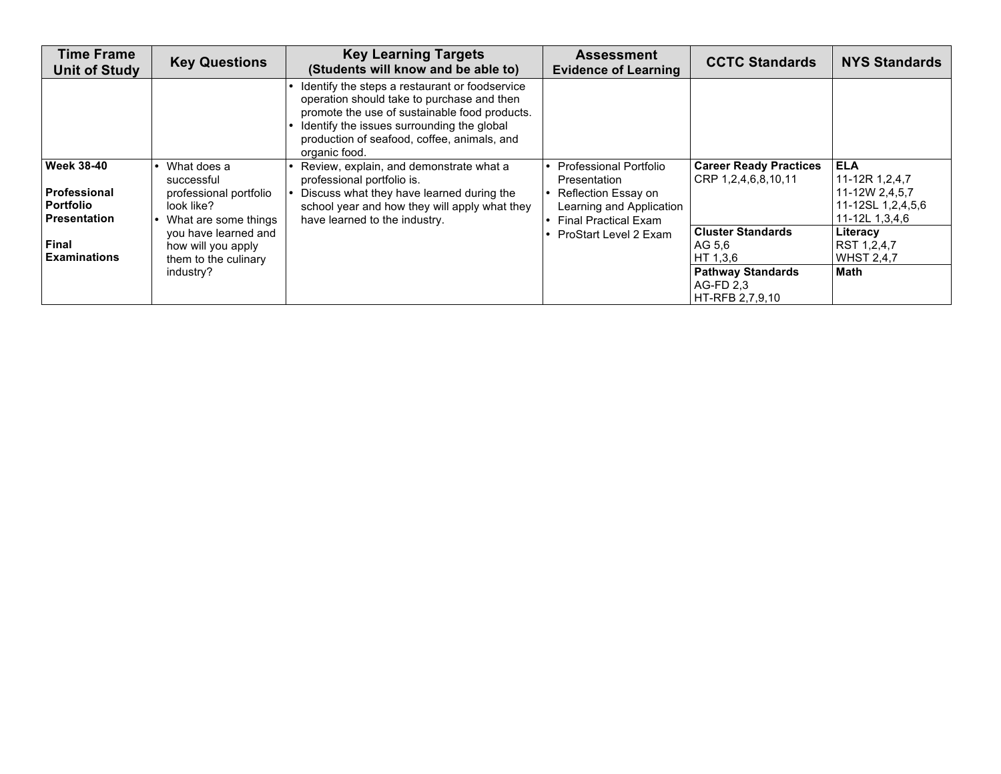| <b>Time Frame</b><br><b>Unit of Study</b>                                      | <b>Key Questions</b>                                                                      | <b>Key Learning Targets</b><br>(Students will know and be able to)                                                                                                                                                                                          | <b>Assessment</b><br><b>Evidence of Learning</b>                                                                         | <b>CCTC Standards</b>                                    | <b>NYS Standards</b>                                                                  |
|--------------------------------------------------------------------------------|-------------------------------------------------------------------------------------------|-------------------------------------------------------------------------------------------------------------------------------------------------------------------------------------------------------------------------------------------------------------|--------------------------------------------------------------------------------------------------------------------------|----------------------------------------------------------|---------------------------------------------------------------------------------------|
|                                                                                |                                                                                           | Identify the steps a restaurant or foodservice<br>operation should take to purchase and then<br>promote the use of sustainable food products.<br>Identify the issues surrounding the global<br>production of seafood, coffee, animals, and<br>organic food. |                                                                                                                          |                                                          |                                                                                       |
| <b>Week 38-40</b><br><b>Professional</b><br><b>Portfolio</b><br>l Presentation | What does a<br>successful<br>professional portfolio<br>look like?<br>What are some things | Review, explain, and demonstrate what a<br>professional portfolio is.<br>Discuss what they have learned during the<br>school year and how they will apply what they<br>have learned to the industry.                                                        | Professional Portfolio<br>Presentation<br>Reflection Essay on<br>Learning and Application<br><b>Final Practical Exam</b> | <b>Career Ready Practices</b><br>CRP 1,2,4,6,8,10,11     | <b>ELA</b><br>11-12R 1,2,4,7<br>11-12W 2,4,5,7<br>11-12SL 1,2,4,5,6<br>11-12L 1,3,4,6 |
| Final<br><b>Examinations</b>                                                   | you have learned and<br>how will you apply<br>them to the culinary                        |                                                                                                                                                                                                                                                             | ProStart Level 2 Exam                                                                                                    | <b>Cluster Standards</b><br>AG 5.6<br>HT 1.3.6           | Literacy<br>RST 1,2,4,7<br><b>WHST 2.4.7</b>                                          |
|                                                                                | industry?                                                                                 |                                                                                                                                                                                                                                                             |                                                                                                                          | <b>Pathway Standards</b><br>AG-FD 2.3<br>HT-RFB 2,7,9,10 | <b>Math</b>                                                                           |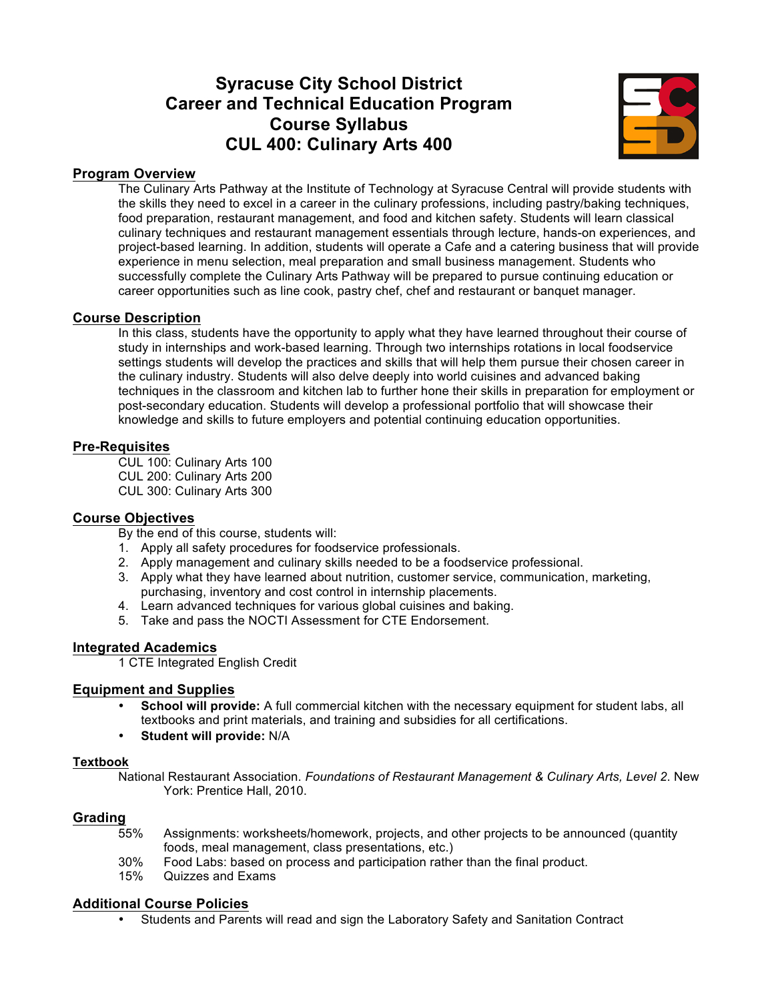# **Syracuse City School District Career and Technical Education Program Course Syllabus CUL 400: Culinary Arts 400**



#### **Program Overview**

The Culinary Arts Pathway at the Institute of Technology at Syracuse Central will provide students with the skills they need to excel in a career in the culinary professions, including pastry/baking techniques, food preparation, restaurant management, and food and kitchen safety. Students will learn classical culinary techniques and restaurant management essentials through lecture, hands-on experiences, and project-based learning. In addition, students will operate a Cafe and a catering business that will provide experience in menu selection, meal preparation and small business management. Students who successfully complete the Culinary Arts Pathway will be prepared to pursue continuing education or career opportunities such as line cook, pastry chef, chef and restaurant or banquet manager.

#### **Course Description**

In this class, students have the opportunity to apply what they have learned throughout their course of study in internships and work-based learning. Through two internships rotations in local foodservice settings students will develop the practices and skills that will help them pursue their chosen career in the culinary industry. Students will also delve deeply into world cuisines and advanced baking techniques in the classroom and kitchen lab to further hone their skills in preparation for employment or post-secondary education. Students will develop a professional portfolio that will showcase their knowledge and skills to future employers and potential continuing education opportunities.

#### **Pre-Requisites**

CUL 100: Culinary Arts 100 CUL 200: Culinary Arts 200 CUL 300: Culinary Arts 300

#### **Course Objectives**

By the end of this course, students will:

- 1. Apply all safety procedures for foodservice professionals.
- 2. Apply management and culinary skills needed to be a foodservice professional.
- 3. Apply what they have learned about nutrition, customer service, communication, marketing, purchasing, inventory and cost control in internship placements.
- 4. Learn advanced techniques for various global cuisines and baking.
- 5. Take and pass the NOCTI Assessment for CTE Endorsement.

#### **Integrated Academics**

1 CTE Integrated English Credit

#### **Equipment and Supplies**

- **School will provide:** A full commercial kitchen with the necessary equipment for student labs, all textbooks and print materials, and training and subsidies for all certifications.
- **Student will provide:** N/A

#### **Textbook**

National Restaurant Association. *Foundations of Restaurant Management & Culinary Arts, Level 2*. New York: Prentice Hall, 2010.

#### **Grading**

- 55% Assignments: worksheets/homework, projects, and other projects to be announced (quantity foods, meal management, class presentations, etc.)
- 30% Food Labs: based on process and participation rather than the final product.<br>15% Ouizzes and Exams
- Quizzes and Exams

#### **Additional Course Policies**

• Students and Parents will read and sign the Laboratory Safety and Sanitation Contract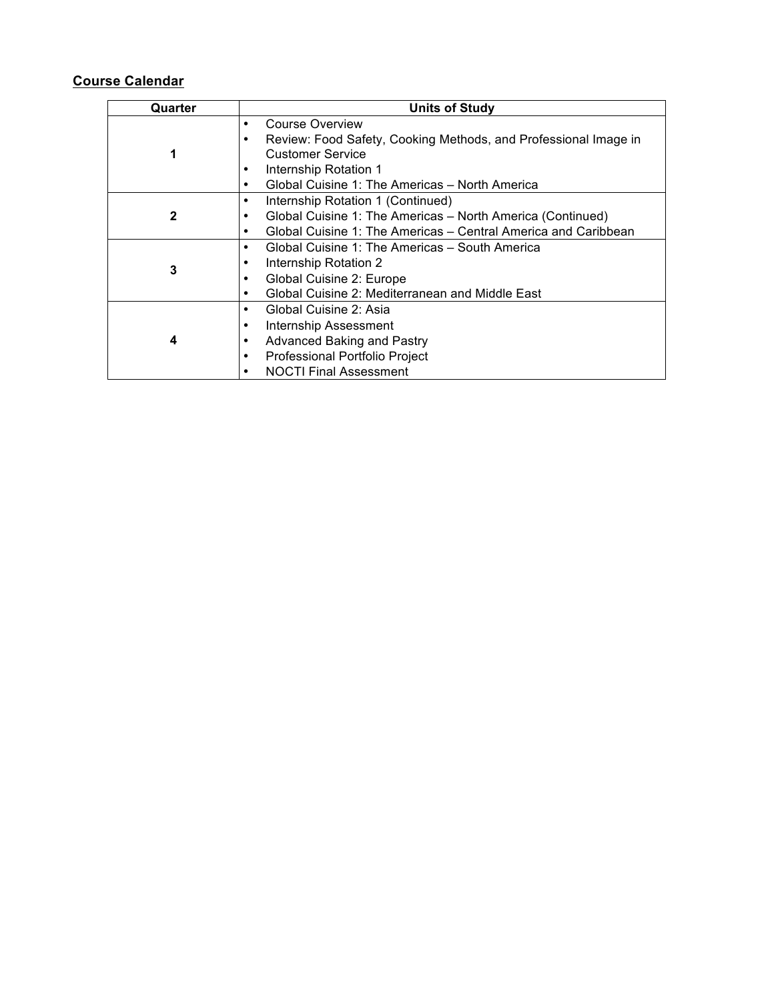| Quarter      | <b>Units of Study</b>                                               |  |  |  |
|--------------|---------------------------------------------------------------------|--|--|--|
|              | Course Overview<br>٠                                                |  |  |  |
|              | Review: Food Safety, Cooking Methods, and Professional Image in     |  |  |  |
|              | <b>Customer Service</b>                                             |  |  |  |
|              | Internship Rotation 1<br>٠                                          |  |  |  |
|              | Global Cuisine 1: The Americas – North America<br>٠                 |  |  |  |
|              | Internship Rotation 1 (Continued)<br>٠                              |  |  |  |
| $\mathbf{2}$ | Global Cuisine 1: The Americas - North America (Continued)          |  |  |  |
|              | Global Cuisine 1: The Americas – Central America and Caribbean<br>٠ |  |  |  |
|              | Global Cuisine 1: The Americas – South America<br>٠                 |  |  |  |
| 3            | Internship Rotation 2                                               |  |  |  |
|              | Global Cuisine 2: Europe                                            |  |  |  |
|              | Global Cuisine 2: Mediterranean and Middle East<br>٠                |  |  |  |
|              | Global Cuisine 2: Asia<br>٠                                         |  |  |  |
|              | Internship Assessment                                               |  |  |  |
| 4            | Advanced Baking and Pastry                                          |  |  |  |
|              | Professional Portfolio Project<br>٠                                 |  |  |  |
|              | <b>NOCTI Final Assessment</b><br>٠                                  |  |  |  |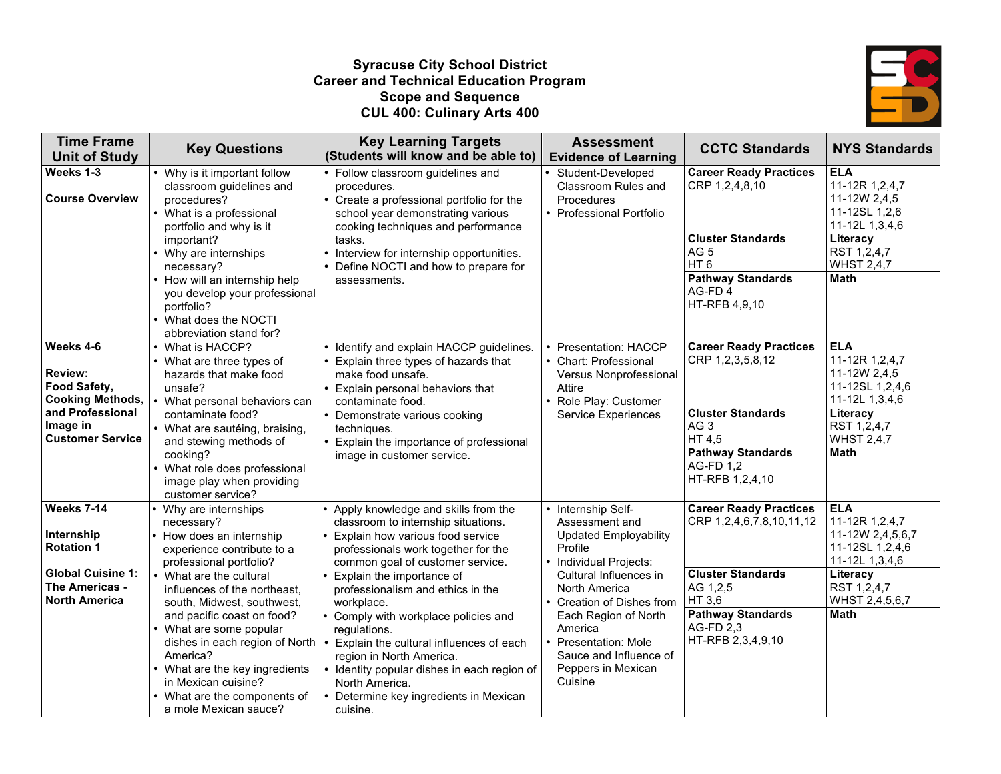#### **Syracuse City School District Career and Technical Education Program Scope and Sequence CUL 400: Culinary Arts 400**



| <b>Time Frame</b><br><b>Unit of Study</b>                              | <b>Key Questions</b>                                                                                                                                                                                                  | <b>Key Learning Targets</b><br>(Students will know and be able to)                                                                                                                                                                           | <b>Assessment</b><br><b>Evidence of Learning</b>                                                                   | <b>CCTC Standards</b>                                           | <b>NYS Standards</b>                                                              |
|------------------------------------------------------------------------|-----------------------------------------------------------------------------------------------------------------------------------------------------------------------------------------------------------------------|----------------------------------------------------------------------------------------------------------------------------------------------------------------------------------------------------------------------------------------------|--------------------------------------------------------------------------------------------------------------------|-----------------------------------------------------------------|-----------------------------------------------------------------------------------|
| Weeks 1-3                                                              |                                                                                                                                                                                                                       | • Follow classroom guidelines and                                                                                                                                                                                                            |                                                                                                                    | <b>Career Ready Practices</b>                                   | <b>ELA</b>                                                                        |
| <b>Course Overview</b>                                                 | • Why is it important follow<br>classroom guidelines and<br>procedures?<br>• What is a professional<br>portfolio and why is it                                                                                        | procedures.<br>• Create a professional portfolio for the<br>school year demonstrating various<br>cooking techniques and performance                                                                                                          | Student-Developed<br>Classroom Rules and<br>Procedures<br>• Professional Portfolio                                 | CRP 1,2,4,8,10                                                  | 11-12R 1,2,4,7<br>11-12W 2,4,5<br>11-12SL 1,2,6<br>11-12L 1,3,4,6                 |
|                                                                        | important?<br>• Why are internships<br>necessary?                                                                                                                                                                     | tasks.<br>• Interview for internship opportunities.<br>• Define NOCTI and how to prepare for                                                                                                                                                 |                                                                                                                    | <b>Cluster Standards</b><br>AG <sub>5</sub><br>HT <sub>6</sub>  | Literacy<br>RST 1,2,4,7<br><b>WHST 2,4,7</b>                                      |
|                                                                        | • How will an internship help<br>you develop your professional<br>portfolio?<br>• What does the NOCTI                                                                                                                 | assessments.                                                                                                                                                                                                                                 |                                                                                                                    | <b>Pathway Standards</b><br>AG-FD4<br>HT-RFB 4,9,10             | Math                                                                              |
|                                                                        | abbreviation stand for?                                                                                                                                                                                               |                                                                                                                                                                                                                                              |                                                                                                                    |                                                                 |                                                                                   |
| Weeks 4-6<br><b>Review:</b><br>Food Safety,<br><b>Cooking Methods,</b> | • What is HACCP?<br>• What are three types of<br>hazards that make food<br>unsafe?                                                                                                                                    | • Identify and explain HACCP guidelines.<br>• Explain three types of hazards that<br>make food unsafe.<br>• Explain personal behaviors that                                                                                                  | • Presentation: HACCP<br>• Chart: Professional<br>Versus Nonprofessional<br>Attire                                 | <b>Career Ready Practices</b><br>CRP 1,2,3,5,8,12               | <b>ELA</b><br>11-12R 1,2,4,7<br>11-12W 2,4,5<br>11-12SL 1,2,4,6<br>11-12L 1,3,4,6 |
| and Professional<br>Image in<br><b>Customer Service</b>                | • What personal behaviors can<br>contaminate food?<br>• What are sautéing, braising,<br>and stewing methods of                                                                                                        | contaminate food.<br>• Demonstrate various cooking<br>techniques.<br>• Explain the importance of professional                                                                                                                                | • Role Play: Customer<br><b>Service Experiences</b>                                                                | <b>Cluster Standards</b><br>AG <sub>3</sub><br>HT 4,5           | Literacy<br>RST 1,2,4,7<br><b>WHST 2,4,7</b>                                      |
|                                                                        | cooking?<br>• What role does professional<br>image play when providing<br>customer service?                                                                                                                           | image in customer service.                                                                                                                                                                                                                   |                                                                                                                    | <b>Pathway Standards</b><br><b>AG-FD 1,2</b><br>HT-RFB 1,2,4,10 | <b>Math</b>                                                                       |
| Weeks 7-14<br>Internship                                               | Why are internships<br>necessary?<br>How does an internship                                                                                                                                                           | Apply knowledge and skills from the<br>classroom to internship situations.<br>Explain how various food service                                                                                                                               | • Internship Self-<br>Assessment and<br><b>Updated Employability</b>                                               | <b>Career Ready Practices</b><br>CRP 1,2,4,6,7,8,10,11,12       | <b>ELA</b><br>11-12R 1,2,4,7<br>11-12W 2,4,5,6,7                                  |
| <b>Rotation 1</b>                                                      | experience contribute to a<br>professional portfolio?                                                                                                                                                                 | professionals work together for the<br>common goal of customer service.                                                                                                                                                                      | Profile<br>• Individual Projects:                                                                                  |                                                                 | 11-12SL 1,2,4,6<br>11-12L 1,3,4,6                                                 |
| <b>Global Cuisine 1:</b><br>The Americas -<br><b>North America</b>     | • What are the cultural<br>influences of the northeast,<br>south, Midwest, southwest,                                                                                                                                 | Explain the importance of<br>professionalism and ethics in the<br>workplace.                                                                                                                                                                 | Cultural Influences in<br>North America<br>• Creation of Dishes from                                               | <b>Cluster Standards</b><br>AG 1,2,5<br>HT 3,6                  | Literacy<br>RST 1,2,4,7<br>WHST 2,4,5,6,7                                         |
|                                                                        | and pacific coast on food?<br>• What are some popular<br>dishes in each region of North<br>America?<br>• What are the key ingredients<br>in Mexican cuisine?<br>• What are the components of<br>a mole Mexican sauce? | Comply with workplace policies and<br>regulations.<br>Explain the cultural influences of each<br>region in North America.<br>Identity popular dishes in each region of<br>North America.<br>Determine key ingredients in Mexican<br>cuisine. | Each Region of North<br>America<br>• Presentation: Mole<br>Sauce and Influence of<br>Peppers in Mexican<br>Cuisine | <b>Pathway Standards</b><br>AG-FD 2.3<br>HT-RFB 2,3,4,9,10      | <b>Math</b>                                                                       |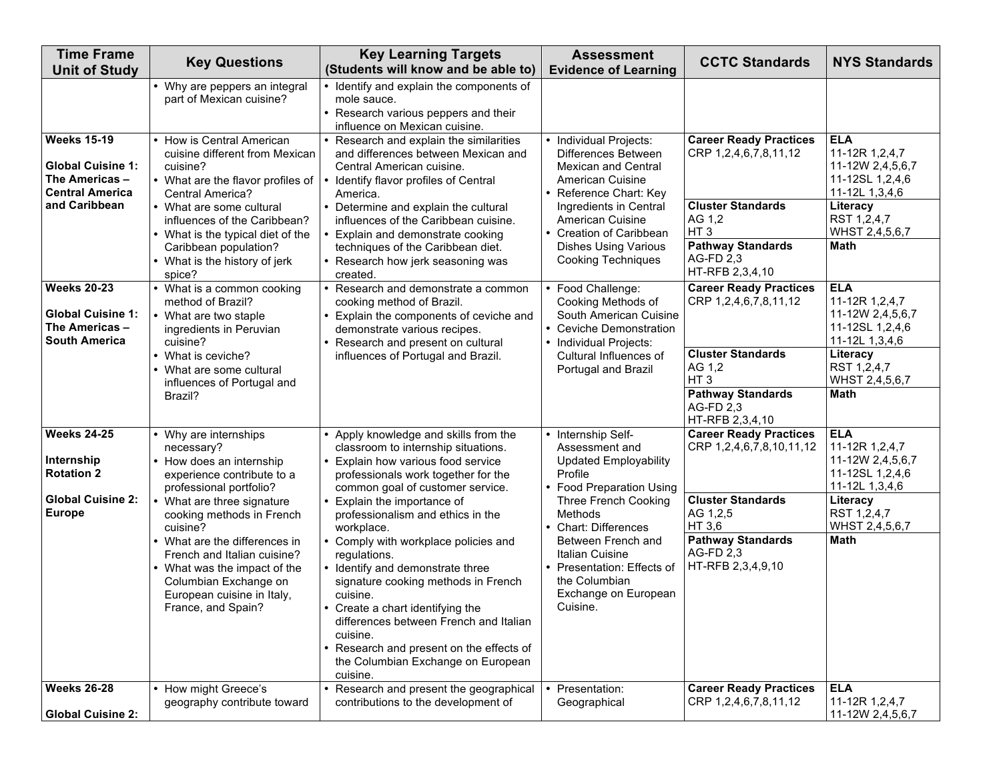| <b>Time Frame</b><br><b>Unit of Study</b>                                                  | <b>Key Questions</b>                                                                                                                                                      | <b>Key Learning Targets</b><br>(Students will know and be able to)                                                                                                                                                                                                                                                              | <b>Assessment</b><br><b>Evidence of Learning</b>                                                                                 | <b>CCTC Standards</b>                                                                          | <b>NYS Standards</b>                                                                  |
|--------------------------------------------------------------------------------------------|---------------------------------------------------------------------------------------------------------------------------------------------------------------------------|---------------------------------------------------------------------------------------------------------------------------------------------------------------------------------------------------------------------------------------------------------------------------------------------------------------------------------|----------------------------------------------------------------------------------------------------------------------------------|------------------------------------------------------------------------------------------------|---------------------------------------------------------------------------------------|
|                                                                                            | • Why are peppers an integral<br>part of Mexican cuisine?                                                                                                                 | • Identify and explain the components of<br>mole sauce.<br>• Research various peppers and their<br>influence on Mexican cuisine.                                                                                                                                                                                                |                                                                                                                                  |                                                                                                |                                                                                       |
| <b>Weeks 15-19</b><br><b>Global Cuisine 1:</b><br>The Americas -<br><b>Central America</b> | How is Central American<br>cuisine different from Mexican<br>cuisine?<br>• What are the flavor profiles of<br><b>Central America?</b>                                     | Research and explain the similarities<br>and differences between Mexican and<br>Central American cuisine.<br>Identify flavor profiles of Central<br>America.                                                                                                                                                                    | • Individual Projects:<br>Differences Between<br><b>Mexican and Central</b><br><b>American Cuisine</b><br>• Reference Chart: Key | <b>Career Ready Practices</b><br>CRP 1,2,4,6,7,8,11,12                                         | <b>ELA</b><br>11-12R 1,2,4,7<br>11-12W 2,4,5,6,7<br>11-12SL 1,2,4,6<br>11-12L 1,3,4,6 |
| and Caribbean                                                                              | • What are some cultural<br>influences of the Caribbean?<br>• What is the typical diet of the<br>Caribbean population?                                                    | • Determine and explain the cultural<br>influences of the Caribbean cuisine.<br>Explain and demonstrate cooking<br>techniques of the Caribbean diet.                                                                                                                                                                            | Ingredients in Central<br><b>American Cuisine</b><br>• Creation of Caribbean<br><b>Dishes Using Various</b>                      | <b>Cluster Standards</b><br>AG 1,2<br>HT <sub>3</sub><br><b>Pathway Standards</b><br>AG-FD 2,3 | Literacy<br>RST 1,2,4,7<br>WHST 2,4,5,6,7<br>Math                                     |
|                                                                                            | • What is the history of jerk<br>spice?                                                                                                                                   | • Research how jerk seasoning was<br>created.                                                                                                                                                                                                                                                                                   | <b>Cooking Techniques</b>                                                                                                        | HT-RFB 2,3,4,10                                                                                |                                                                                       |
| <b>Weeks 20-23</b><br><b>Global Cuisine 1:</b><br>The Americas -<br><b>South America</b>   | • What is a common cooking<br>method of Brazil?<br>• What are two staple<br>ingredients in Peruvian<br>cuisine?                                                           | Research and demonstrate a common<br>cooking method of Brazil.<br>Explain the components of ceviche and<br>demonstrate various recipes.<br>Research and present on cultural                                                                                                                                                     | Food Challenge:<br>Cooking Methods of<br>South American Cuisine<br>• Ceviche Demonstration<br>• Individual Projects:             | <b>Career Ready Practices</b><br>CRP 1,2,4,6,7,8,11,12                                         | <b>ELA</b><br>11-12R 1,2,4,7<br>11-12W 2,4,5,6,7<br>11-12SL 1,2,4,6<br>11-12L 1,3,4,6 |
|                                                                                            | • What is ceviche?<br>• What are some cultural<br>influences of Portugal and                                                                                              | influences of Portugal and Brazil.                                                                                                                                                                                                                                                                                              | Cultural Influences of<br>Portugal and Brazil                                                                                    | <b>Cluster Standards</b><br>AG 1,2<br>HT <sub>3</sub>                                          | Literacy<br>RST 1,2,4,7<br>WHST 2,4,5,6,7                                             |
|                                                                                            | Brazil?                                                                                                                                                                   |                                                                                                                                                                                                                                                                                                                                 |                                                                                                                                  | <b>Pathway Standards</b><br>AG-FD 2,3<br>HT-RFB 2,3,4,10                                       | <b>Math</b>                                                                           |
| <b>Weeks 24-25</b><br>Internship<br><b>Rotation 2</b>                                      | Why are internships<br>necessary?<br>• How does an internship<br>experience contribute to a<br>professional portfolio?                                                    | Apply knowledge and skills from the<br>classroom to internship situations.<br>Explain how various food service<br>professionals work together for the<br>common goal of customer service.                                                                                                                                       | Internship Self-<br>Assessment and<br><b>Updated Employability</b><br>Profile<br>• Food Preparation Using                        | <b>Career Ready Practices</b><br>CRP 1,2,4,6,7,8,10,11,12                                      | <b>ELA</b><br>11-12R 1,2,4,7<br>11-12W 2,4,5,6,7<br>11-12SL 1,2,4,6<br>11-12L 1,3,4,6 |
| <b>Global Cuisine 2:</b><br><b>Europe</b>                                                  | • What are three signature<br>cooking methods in French<br>cuisine?                                                                                                       | Explain the importance of<br>professionalism and ethics in the<br>workplace.                                                                                                                                                                                                                                                    | Three French Cooking<br>Methods<br>• Chart: Differences                                                                          | <b>Cluster Standards</b><br>AG 1,2,5<br>HT 3,6                                                 | Literacy<br>RST 1,2,4,7<br>WHST 2,4,5,6,7                                             |
|                                                                                            | • What are the differences in<br>French and Italian cuisine?<br>• What was the impact of the<br>Columbian Exchange on<br>European cuisine in Italy,<br>France, and Spain? | Comply with workplace policies and<br>regulations.<br>• Identify and demonstrate three<br>signature cooking methods in French<br>cuisine.<br>• Create a chart identifying the<br>differences between French and Italian<br>cuisine.<br>Research and present on the effects of<br>the Columbian Exchange on European<br>cuisine. | Between French and<br><b>Italian Cuisine</b><br>• Presentation: Effects of<br>the Columbian<br>Exchange on European<br>Cuisine.  | <b>Pathway Standards</b><br>AG-FD 2,3<br>HT-RFB 2,3,4,9,10                                     | <b>Math</b>                                                                           |
| <b>Weeks 26-28</b><br><b>Global Cuisine 2:</b>                                             | How might Greece's<br>geography contribute toward                                                                                                                         | Research and present the geographical<br>contributions to the development of                                                                                                                                                                                                                                                    | Presentation:<br>Geographical                                                                                                    | <b>Career Ready Practices</b><br>CRP 1,2,4,6,7,8,11,12                                         | <b>ELA</b><br>11-12R 1,2,4,7<br>11-12W 2,4,5,6,7                                      |